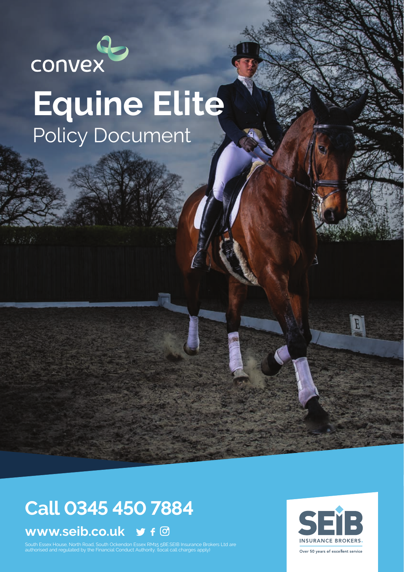

# **Equine Elite** Policy Document

## **Call 0345 450 7884**

### **www.seib.co.uk**

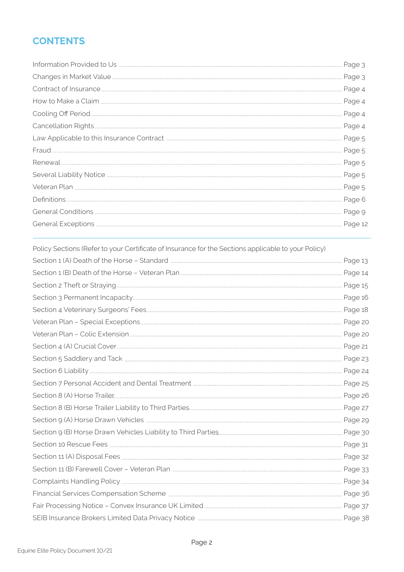### **CONTENTS**

| Page 4  |
|---------|
|         |
| Page 4  |
|         |
|         |
|         |
|         |
|         |
|         |
|         |
| Page 12 |
|         |

| Policy Sections (Refer to your Certificate of Insurance for the Sections applicable to your Policy) |  |
|-----------------------------------------------------------------------------------------------------|--|
|                                                                                                     |  |
|                                                                                                     |  |
|                                                                                                     |  |
|                                                                                                     |  |
|                                                                                                     |  |
|                                                                                                     |  |
|                                                                                                     |  |
|                                                                                                     |  |
|                                                                                                     |  |
|                                                                                                     |  |
|                                                                                                     |  |
|                                                                                                     |  |
|                                                                                                     |  |
|                                                                                                     |  |
|                                                                                                     |  |
|                                                                                                     |  |
|                                                                                                     |  |
|                                                                                                     |  |
|                                                                                                     |  |
|                                                                                                     |  |
|                                                                                                     |  |
|                                                                                                     |  |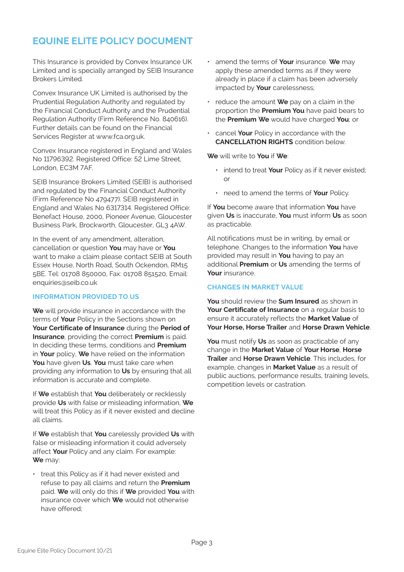### **EQUINE ELITE POLICY DOCUMENT**

This Insurance is provided by Convex Insurance UK Limited and is specially arranged by SEIB Insurance Brokers Limited.

Convex Insurance UK Limited is authorised by the Prudential Regulation Authority and regulated by the Financial Conduct Authority and the Prudential Regulation Authority (Firm Reference No. 840616). Further details can be found on the Financial Services Register at www.fca.org.uk.

Convex Insurance registered in England and Wales No 11796392. Registered Office: 52 Lime Street London, EC3M 7AF.

SEIB Insurance Brokers Limited (SEIB) is authorised and regulated by the Financial Conduct Authority (Firm Reference No 479477). SEIB registered in England and Wales No 6317314. Registered Office: Benefact House, 2000, Pioneer Avenue, Gloucester Business Park, Brockworth, Gloucester, GL3 4AW.

In the event of any amendment, alteration, cancellation or question **You** may have or **You** want to make a claim please contact SEIB at South Essex House, North Road, South Ockendon, RM15 5BE. Tel: 01708 850000, Fax: 01708 851520, Email: enquiries@seib.co.uk

#### **INFORMATION PROVIDED TO US**

**We** will provide insurance in accordance with the terms of **Your** Policy in the Sections shown on **Your Certificate of Insurance** during the **Period of Insurance**, providing the correct **Premium** is paid. In deciding these terms, conditions and **Premium** in **Your** policy, **We** have relied on the information **You** have given **Us**. **You** must take care when providing any information to **Us** by ensuring that all information is accurate and complete.

If **We** establish that **You** deliberately or recklessly provide **Us** with false or misleading information, **We**  will treat this Policy as if it never existed and decline all claims.

If **We** establish that **You** carelessly provided **Us** with false or misleading information it could adversely affect **Your** Policy and any claim. For example: **We** may:

• treat this Policy as if it had never existed and refuse to pay all claims and return the **Premium** paid. **We** will only do this if **We** provided **You** with insurance cover which **We** would not otherwise have offered;

- amend the terms of **Your** insurance. **We** may apply these amended terms as if they were already in place if a claim has been adversely impacted by **Your** carelessness;
- reduce the amount **We** pay on a claim in the proportion the **Premium You** have paid bears to the **Premium We** would have charged **You**; or
- cancel **Your** Policy in accordance with the **CANCELLATION RIGHTS** condition below.

**We** will write to **You** if **We**:

- intend to treat **Your** Policy as if it never existed; or
- need to amend the terms of **Your** Policy.

If **You** become aware that information **You** have given **Us** is inaccurate, **You** must inform **Us** as soon as practicable.

All notifications must be in writing, by email or telephone. Changes to the information **You** have provided may result in **You** having to pay an additional **Premium** or **Us** amending the terms of **Your** insurance.

#### **CHANGES IN MARKET VALUE**

**You** should review the **Sum Insured** as shown in **Your Certificate of Insurance** on a regular basis to ensure it accurately reflects the **Market Value** of **Your Horse, Horse Trailer** and **Horse Drawn Vehicle**.

**You** must notify **Us** as soon as practicable of any change in the **Market Value** of **Your Horse**, **Horse Trailer** and **Horse Drawn Vehicle**. This includes, for example, changes in **Market Value** as a result of public auctions, performance results, training levels, competition levels or castration.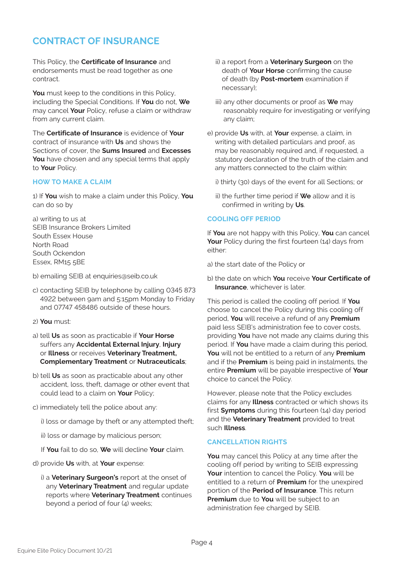### **CONTRACT OF INSURANCE**

This Policy, the **Certificate of Insurance** and endorsements must be read together as one contract.

**You** must keep to the conditions in this Policy, including the Special Conditions. If **You** do not, **We** may cancel **Your** Policy, refuse a claim or withdraw from any current claim.

The **Certificate of Insurance** is evidence of **Your** contract of insurance with **Us** and shows the Sections of cover, the **Sums Insured** and **Excesses You** have chosen and any special terms that apply to **Your** Policy.

#### **HOW TO MAKE A CLAIM**

1) If **You** wish to make a claim under this Policy, **You** can do so by

a) writing to us at SEIB Insurance Brokers Limited South Essex House North Road South Ockendon Essex, RM15 5BE

b) emailing SEIB at enquiries@seib.co.uk

- c) contacting SEIB by telephone by calling 0345 873 4922 between 9am and 5:15pm Monday to Friday and 07747 458486 outside of these hours.
- 2) **You** must:
- a) tell **Us** as soon as practicable if **Your Horse** suffers any **Accidental External Injury**, **Injury** or **Illness** or receives **Veterinary Treatment, Complementary Treatment** or **Nutraceuticals**;
- b) tell **Us** as soon as practicable about any other accident, loss, theft, damage or other event that could lead to a claim on **Your** Policy;
- c) immediately tell the police about any:

i) loss or damage by theft or any attempted theft;

ii) loss or damage by malicious person;

If **You** fail to do so, **We** will decline **Your** claim.

- d) provide **Us** with, at **Your** expense:
	- i) a **Veterinary Surgeon's** report at the onset of any **Veterinary Treatment** and regular update reports where **Veterinary Treatment** continues beyond a period of four  $(4)$  weeks;
- ii) a report from a **Veterinary Surgeon** on the death of **Your Horse** confirming the cause of death (by **Post-mortem** examination if necessary);
- iii) any other documents or proof as **We** may reasonably require for investigating or verifying any claim;
- e) provide **Us** with, at **Your** expense, a claim, in writing with detailed particulars and proof, as may be reasonably required and, if requested, a statutory declaration of the truth of the claim and any matters connected to the claim within:
	- i) thirty (30) days of the event for all Sections; or
	- ii) the further time period if **We** allow and it is confirmed in writing by **Us**.

#### **COOLING OFF PERIOD**

If **You** are not happy with this Policy, **You** can cancel Your Policy during the first fourteen (14) days from either:

a) the start date of the Policy or

b) the date on which **You** receive **Your Certificate of Insurance**, whichever is later.

This period is called the cooling off period. If **You** choose to cancel the Policy during this cooling off period, **You** will receive a refund of any **Premium** paid less SEIB's administration fee to cover costs, providing **You** have not made any claims during this period. If **You** have made a claim during this period, **You** will not be entitled to a return of any **Premium** and if the **Premium** is being paid in instalments, the entire **Premium** will be payable irrespective of **Your** choice to cancel the Policy.

However, please note that the Policy excludes claims for any **Illness** contracted or which shows its first **Symptoms** during this fourteen (14) day period and the **Veterinary Treatment** provided to treat such **Illness**.

#### **CANCELLATION RIGHTS**

**You** may cancel this Policy at any time after the cooling off period by writing to SEIB expressing **Your** intention to cancel the Policy. **You** will be entitled to a return of **Premium** for the unexpired portion of the **Period of Insurance**. This return **Premium** due to **You** will be subject to an administration fee charged by SEIB.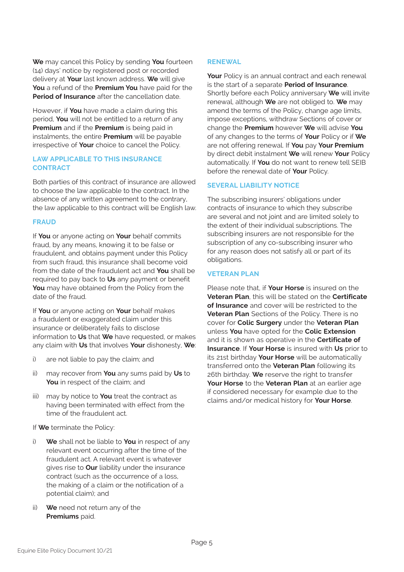**We** may cancel this Policy by sending **You** fourteen (14) days' notice by registered post or recorded delivery at **Your** last known address. **We** will give **You** a refund of the **Premium You** have paid for the **Period of Insurance** after the cancellation date.

However, if **You** have made a claim during this period, **You** will not be entitled to a return of any **Premium** and if the **Premium** is being paid in instalments, the entire **Premium** will be payable irrespective of **Your** choice to cancel the Policy.

#### **LAW APPLICABLE TO THIS INSURANCE CONTRACT**

Both parties of this contract of insurance are allowed to choose the law applicable to the contract. In the absence of any written agreement to the contrary, the law applicable to this contract will be English law.

#### **FRAUD**

If **You** or anyone acting on **Your** behalf commits fraud, by any means, knowing it to be false or fraudulent, and obtains payment under this Policy from such fraud, this insurance shall become void from the date of the fraudulent act and **You** shall be required to pay back to **Us** any payment or benefit **You** may have obtained from the Policy from the date of the fraud.

If **You** or anyone acting on **Your** behalf makes a fraudulent or exaggerated claim under this insurance or deliberately fails to disclose information to **Us** that **We** have requested, or makes any claim with **Us** that involves **Your** dishonesty, **We**:

- i) are not liable to pay the claim; and
- ii) may recover from **You** any sums paid by **Us** to **You** in respect of the claim; and
- iii) may by notice to **You** treat the contract as having been terminated with effect from the time of the fraudulent act.

If **We** terminate the Policy:

- i) **We** shall not be liable to **You** in respect of any relevant event occurring after the time of the fraudulent act. A relevant event is whatever gives rise to **Our** liability under the insurance contract (such as the occurrence of a loss, the making of a claim or the notification of a potential claim); and
- ii) **We** need not return any of the **Premiums** paid.

#### **RENEWAL**

**Your** Policy is an annual contract and each renewal is the start of a separate **Period of Insurance**. Shortly before each Policy anniversary **We** will invite renewal, although **We** are not obliged to. **We** may amend the terms of the Policy, change age limits, impose exceptions, withdraw Sections of cover or change the **Premium** however **We** will advise **You** of any changes to the terms of **Your** Policy or if **We** are not offering renewal. If **You** pay **Your Premium** by direct debit instalment **We** will renew **Your** Policy automatically. If **You** do not want to renew tell SEIB before the renewal date of **Your** Policy.

#### **SEVERAL LIABILITY NOTICE**

The subscribing insurers' obligations under contracts of insurance to which they subscribe are several and not joint and are limited solely to the extent of their individual subscriptions. The subscribing insurers are not responsible for the subscription of any co-subscribing insurer who for any reason does not satisfy all or part of its obligations.

#### **VETERAN PLAN**

Please note that, if **Your Horse** is insured on the **Veteran Plan**, this will be stated on the **Certificate of Insurance** and cover will be restricted to the **Veteran Plan** Sections of the Policy. There is no cover for **Colic Surgery** under the **Veteran Plan** unless **You** have opted for the **Colic Extension** and it is shown as operative in the **Certificate of Insurance**. If **Your Horse** is insured with **Us** prior to its 21st birthday **Your Horse** will be automatically transferred onto the **Veteran Plan** following its 26th birthday. **We** reserve the right to transfer **Your Horse** to the **Veteran Plan** at an earlier age if considered necessary for example due to the claims and/or medical history for **Your Horse**.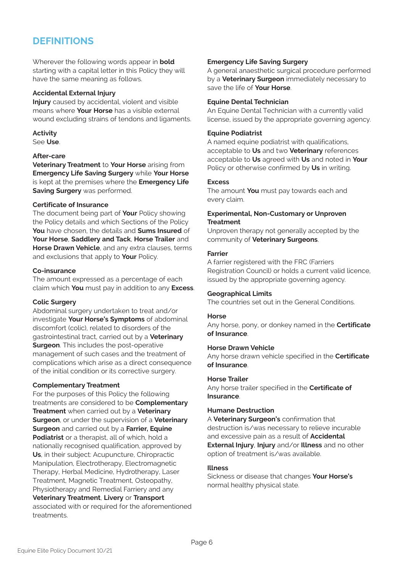### **DEFINITIONS**

Wherever the following words appear in **bold** starting with a capital letter in this Policy they will have the same meaning as follows.

#### **Accidental External Injury**

**Injury** caused by accidental, violent and visible means where **Your Horse** has a visible external wound excluding strains of tendons and ligaments.

**Activity** See **Use**.

#### **After-care**

**Veterinary Treatment** to **Your Horse** arising from **Emergency Life Saving Surgery** while **Your Horse** is kept at the premises where the **Emergency Life Saving Surgery** was performed.

#### **Certificate of Insurance**

The document being part of **Your** Policy showing the Policy details and which Sections of the Policy **You** have chosen, the details and **Sums Insured** of **Your Horse**, **Saddlery and Tack**, **Horse Trailer** and **Horse Drawn Vehicle**, and any extra clauses, terms and exclusions that apply to **Your** Policy.

#### **Co-insurance**

The amount expressed as a percentage of each claim which **You** must pay in addition to any **Excess**.

#### **Colic Surgery**

Abdominal surgery undertaken to treat and/or investigate **Your Horse's Symptoms** of abdominal discomfort (colic), related to disorders of the gastrointestinal tract, carried out by a **Veterinary Surgeon**. This includes the post-operative management of such cases and the treatment of complications which arise as a direct consequence of the initial condition or its corrective surgery.

#### **Complementary Treatment**

For the purposes of this Policy the following treatments are considered to be **Complementary Treatment** when carried out by a **Veterinary Surgeon**, or under the supervision of a **Veterinary Surgeon** and carried out by a **Farrier, Equine Podiatrist** or a therapist, all of which, hold a nationally recognised qualification, approved by **Us**, in their subject: Acupuncture, Chiropractic Manipulation, Electrotherapy, Electromagnetic Therapy, Herbal Medicine, Hydrotherapy, Laser Treatment, Magnetic Treatment, Osteopathy Physiotherapy and Remedial Farriery and any **Veterinary Treatment**, **Livery** or **Transport** associated with or required for the aforementioned treatments.

#### **Emergency Life Saving Surgery**

A general anaesthetic surgical procedure performed by a **Veterinary Surgeon** immediately necessary to save the life of **Your Horse**.

#### **Equine Dental Technician**

An Equine Dental Technician with a currently valid license, issued by the appropriate governing agency.

#### **Equine Podiatrist**

A named equine podiatrist with qualifications, acceptable to **Us** and two **Veterinary** references acceptable to **Us** agreed with **Us** and noted in **Your** Policy or otherwise confirmed by **Us** in writing.

#### **E**venes

The amount **You** must pay towards each and every claim.

#### **Experimental, Non-Customary or Unproven Treatment**

Unproven therapy not generally accepted by the community of **Veterinary Surgeons**.

#### **Farrier**

A farrier registered with the FRC (Farriers Registration Council) or holds a current valid licence, issued by the appropriate governing agency.

#### **Geographical Limits**

The countries set out in the General Conditions.

#### **Horse**

Any horse, pony, or donkey named in the **Certificate of Insurance**.

#### **Horse Drawn Vehicle**

Any horse drawn vehicle specified in the **Certificate of Insurance**.

#### **Horse Trailer**

Any horse trailer specified in the **Certificate of Insurance**.

#### **Humane Destruction**

A **Veterinary Surgeon's** confirmation that destruction is/was necessary to relieve incurable and excessive pain as a result of **Accidental External Injury**, **Injury** and/or **Illness** and no other option of treatment is/was available.

#### **Illness**

Sickness or disease that changes **Your Horse's** normal healthy physical state.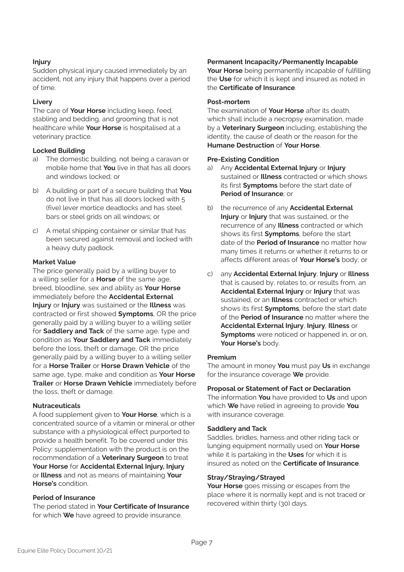#### **Injury**

Sudden physical injury caused immediately by an accident, not any injury that happens over a period of time.

#### **Livery**

The care of **Your Horse** including keep, feed, stabling and bedding, and grooming that is not healthcare while **Your Horse** is hospitalised at a veterinary practice.

#### **Locked Building**

- a) The domestic building, not being a caravan or mobile home that **You** live in that has all doors and windows locked; or
- b) A building or part of a secure building that **You** do not live in that has all doors locked with 5 (five) lever mortice deadlocks and has steel bars or steel grids on all windows; or
- c) A metal shipping container or similar that has been secured against removal and locked with a heavy duty padlock.

#### **Market Value**

The price generally paid by a willing buyer to a willing seller for a **Horse** of the same age, breed, bloodline, sex and ability as **Your Horse** immediately before the **Accidental External Injury** or **Injury** was sustained or the **Illness** was contracted or first showed **Symptoms**, OR the price generally paid by a willing buyer to a willing seller for **Saddlery and Tack** of the same age, type and condition as **Your Saddlery and Tack** immediately before the loss, theft or damage, OR the price generally paid by a willing buyer to a willing seller for a **Horse Trailer** or **Horse Drawn Vehicle** of the same age, type, make and condition as **Your Horse Trailer** or **Horse Drawn Vehicle** immediately before the loss, theft or damage.

#### **Nutraceuticals**

A food supplement given to **Your Horse**, which is a concentrated source of a vitamin or mineral or other substance with a physiological effect purported to provide a health benefit. To be covered under this Policy: supplementation with the product is on the recommendation of a **Veterinary Surgeon** to treat **Your Horse** for **Accidental External Injury, Injury** or **Illness** and not as means of maintaining **Your Horse's** condition.

#### **Period of Insurance**

The period stated in **Your Certificate of Insurance** for which **We** have agreed to provide insurance.

#### **Permanent Incapacity/Permanently Incapable**

**Your Horse** being permanently incapable of fulfilling the **Use** for which it is kept and insured as noted in the **Certificate of Insurance**.

#### **Post-mortem**

The examination of **Your Horse** after its death, which shall include a necropsy examination, made by a **Veterinary Surgeon** including, establishing the identity, the cause of death or the reason for the **Humane Destruction** of **Your Horse**.

#### **Pre-Existing Condition**

- a) Any **Accidental External Injury** or **Injury** sustained or **Illness** contracted or which shows its first **Symptoms** before the start date of **Period of Insurance**; or
- b) the recurrence of any **Accidental External Injury** or **Injury** that was sustained, or the recurrence of any **Illness** contracted or which shows its first **Symptoms**, before the start date of the **Period of Insurance** no matter how many times it returns or whether it returns to or affects different areas of **Your Horse's** body; or
- c) any **Accidental External Injury**, **Injury** or **Illness** that is caused by, relates to, or results from, an **Accidental External Injury** or **Injury** that was sustained, or an **Illness** contracted or which shows its first **Symptoms**, before the start date of the **Period of Insurance** no matter where the **Accidental External Injury**, **Injury**, **Illness** or **Symptoms** were noticed or happened in, or on, **Your Horse's** body.

#### **Premium**

The amount in money **You** must pay **Us** in exchange for the insurance coverage **We** provide.

#### **Proposal or Statement of Fact or Declaration**

The information **You** have provided to **Us** and upon which **We** have relied in agreeing to provide **You** with insurance coverage.

#### **Saddlery and Tack**

Saddles, bridles, harness and other riding tack or lunging equipment normally used on **Your Horse** while it is partaking in the **Uses** for which it is insured as noted on the **Certificate of Insurance**.

#### **Stray/Straying/Strayed**

**Your Horse** goes missing or escapes from the place where it is normally kept and is not traced or recovered within thirty (30) days.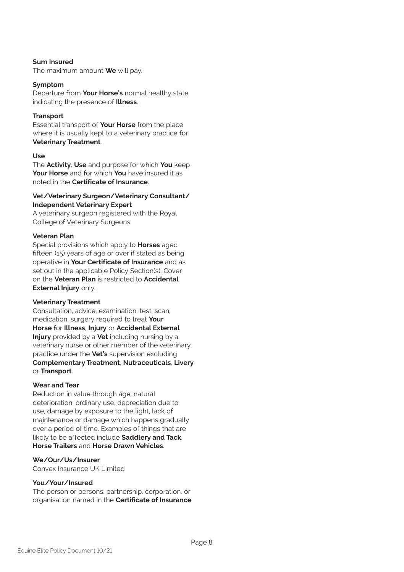#### **Sum Insured**

The maximum amount **We** will pay.

#### **Symptom**

Departure from **Your Horse's** normal healthy state indicating the presence of **Illness**.

#### **Transport**

Essential transport of **Your Horse** from the place where it is usually kept to a veterinary practice for **Veterinary Treatment**.

#### **Use**

The **Activity**, **Use** and purpose for which **You** keep **Your Horse** and for which **You** have insured it as noted in the **Certificate of Insurance**.

#### **Vet/Veterinary Surgeon/Veterinary Consultant/ Independent Veterinary Expert**

A veterinary surgeon registered with the Royal College of Veterinary Surgeons.

#### **Veteran Plan**

Special provisions which apply to **Horses** aged fifteen (15) years of age or over if stated as being operative in **Your Certificate of Insurance** and as set out in the applicable Policy Section(s). Cover on the **Veteran Plan** is restricted to **Accidental External Injury** only.

#### **Veterinary Treatment**

Consultation, advice, examination, test, scan, medication, surgery required to treat **Your Horse** for **Illness**, **Injury** or **Accidental External Injury** provided by a **Vet** including nursing by a veterinary nurse or other member of the veterinary practice under the **Vet's** supervision excluding **Complementary Treatment**, **Nutraceuticals**, **Livery** or **Transport**.

#### **Wear and Tear**

Reduction in value through age, natural deterioration, ordinary use, depreciation due to use, damage by exposure to the light, lack of maintenance or damage which happens gradually over a period of time. Examples of things that are likely to be affected include **Saddlery and Tack**, **Horse Trailers** and **Horse Drawn Vehicles**.

#### **We/Our/Us/Insurer**

Convex Insurance UK Limited

#### **You/Your/Insured**

The person or persons, partnership, corporation, or organisation named in the **Certificate of Insurance**.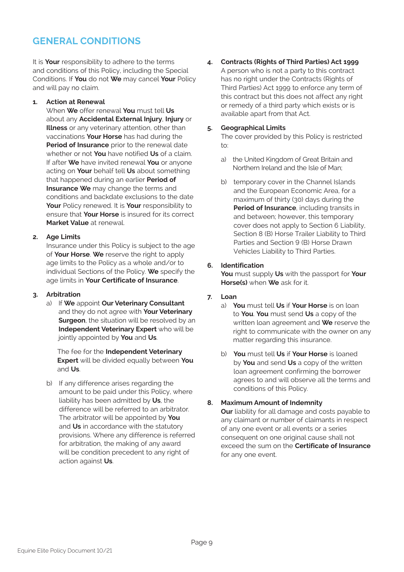### **GENERAL CONDITIONS**

It is **Your** responsibility to adhere to the terms and conditions of this Policy, including the Special Conditions. If **You** do not **We** may cancel **Your** Policy and will pay no claim.

#### **1. Action at Renewal**

When **We** offer renewal **You** must tell **Us** about any **Accidental External Injury**, **Injury** or **Illness** or any veterinary attention, other than vaccinations **Your Horse** has had during the **Period of Insurance** prior to the renewal date whether or not **You** have notified **Us** of a claim. If after **We** have invited renewal **You** or anyone acting on **Your** behalf tell **Us** about something that happened during an earlier **Period of Insurance We** may change the terms and conditions and backdate exclusions to the date **Your** Policy renewed. It is **Your** responsibility to ensure that **Your Horse** is insured for its correct **Market Value** at renewal.

#### **2. Age Limits**

Insurance under this Policy is subject to the age of **Your Horse**. **We** reserve the right to apply age limits to the Policy as a whole and/or to individual Sections of the Policy. **We** specify the age limits in **Your Certificate of Insurance**.

#### **3. Arbitration**

a) If **We** appoint **Our Veterinary Consultant** and they do not agree with **Your Veterinary Surgeon**, the situation will be resolved by an **Independent Veterinary Expert** who will be jointly appointed by **You** and **Us**.

The fee for the **Independent Veterinary Expert** will be divided equally between **You** and **Us**.

b) If any difference arises regarding the amount to be paid under this Policy, where liability has been admitted by **Us**, the difference will be referred to an arbitrator. The arbitrator will be appointed by **You** and **Us** in accordance with the statutory provisions. Where any difference is referred for arbitration, the making of any award will be condition precedent to any right of action against **Us**.

**4. Contracts (Rights of Third Parties) Act 1999** A person who is not a party to this contract has no right under the Contracts (Rights of Third Parties) Act 1999 to enforce any term of this contract but this does not affect any right or remedy of a third party which exists or is available apart from that Act.

#### **5. Geographical Limits**

The cover provided by this Policy is restricted to:

- a) the United Kingdom of Great Britain and Northern Ireland and the Isle of Man;
- b) temporary cover in the Channel Islands and the European Economic Area, for a maximum of thirty (30) days during the **Period of Insurance**, including transits in and between; however, this temporary cover does not apply to Section 6 Liability, Section 8 (B) Horse Trailer Liability to Third Parties and Section 9 (B) Horse Drawn Vehicles Liability to Third Parties.

#### **6. Identification**

**You** must supply **Us** with the passport for **Your Horse(s)** when **We** ask for it.

#### **7. Loan**

- a) **You** must tell **Us** if **Your Horse** is on loan to **You**. **You** must send **Us** a copy of the written loan agreement and **We** reserve the right to communicate with the owner on any matter regarding this insurance.
- b) **You** must tell **Us** if **Your Horse** is loaned by **You** and send **Us** a copy of the written loan agreement confirming the borrower agrees to and will observe all the terms and conditions of this Policy.

#### **8. Maximum Amount of Indemnity**

**Our** liability for all damage and costs payable to any claimant or number of claimants in respect of any one event or all events or a series consequent on one original cause shall not exceed the sum on the **Certificate of Insurance** for any one event.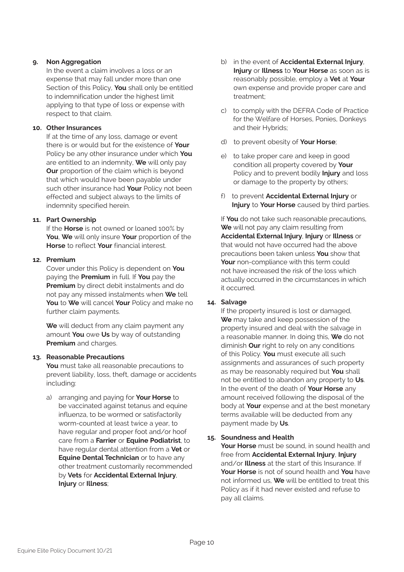#### **9. Non Aggregation**

In the event a claim involves a loss or an expense that may fall under more than one Section of this Policy, **You** shall only be entitled to indemnification under the highest limit applying to that type of loss or expense with respect to that claim.

#### **10. Other Insurances**

If at the time of any loss, damage or event there is or would but for the existence of **Your** Policy be any other insurance under which **You** are entitled to an indemnity, **We** will only pay **Our** proportion of the claim which is beyond that which would have been payable under such other insurance had **Your** Policy not been effected and subject always to the limits of indemnity specified herein.

#### **11. Part Ownership**

If the **Horse** is not owned or loaned 100% by **You**, **We** will only insure **Your** proportion of the **Horse** to reflect **Your** financial interest.

#### **12. Premium**

Cover under this Policy is dependent on **You** paying the **Premium** in full. If **You** pay the **Premium** by direct debit instalments and do not pay any missed instalments when **We** tell **You** to **We** will cancel **Your** Policy and make no further claim payments.

**We** will deduct from any claim payment any amount **You** owe **Us** by way of outstanding **Premium** and charges.

#### **13. Reasonable Precautions**

**You** must take all reasonable precautions to prevent liability, loss, theft, damage or accidents including:

a) arranging and paying for **Your Horse** to be vaccinated against tetanus and equine influenza, to be wormed or satisfactorily worm-counted at least twice a year, to have regular and proper foot and/or hoof care from a **Farrier** or **Equine Podiatrist**, to have regular dental attention from a **Vet** or **Equine Dental Technician** or to have any other treatment customarily recommended by **Vets** for **Accidental External Injury**, **Injury** or **Illness**;

- b) in the event of **Accidental External Injury**, **Injury** or **Illness** to **Your Horse** as soon as is reasonably possible, employ a **Vet** at **Your** own expense and provide proper care and treatment;
- c) to comply with the DEFRA Code of Practice for the Welfare of Horses, Ponies, Donkeys and their Hybrids;
- d) to prevent obesity of **Your Horse**;
- e) to take proper care and keep in good condition all property covered by **Your** Policy and to prevent bodily **Injury** and loss or damage to the property by others;
- f) to prevent **Accidental External Injury** or **Injury** to **Your Horse** caused by third parties.

If **You** do not take such reasonable precautions, **We** will not pay any claim resulting from **Accidental External Injury**, **Injury** or **Illness** or that would not have occurred had the above precautions been taken unless **You** show that **Your** non-compliance with this term could not have increased the risk of the loss which actually occurred in the circumstances in which it occurred.

#### **14. Salvage**

If the property insured is lost or damaged, **We** may take and keep possession of the property insured and deal with the salvage in a reasonable manner. In doing this, **We** do not diminish **Our** right to rely on any conditions of this Policy. **You** must execute all such assignments and assurances of such property as may be reasonably required but **You** shall not be entitled to abandon any property to **Us**. In the event of the death of **Your Horse** any amount received following the disposal of the body at **Your** expense and at the best monetary terms available will be deducted from any payment made by **Us**.

**15. Soundness and Health**

**Your Horse** must be sound, in sound health and free from **Accidental External Injury**, **Injury** and/or **Illness** at the start of this Insurance. If **Your Horse** is not of sound health and **You** have not informed us, **We** will be entitled to treat this Policy as if it had never existed and refuse to pay all claims.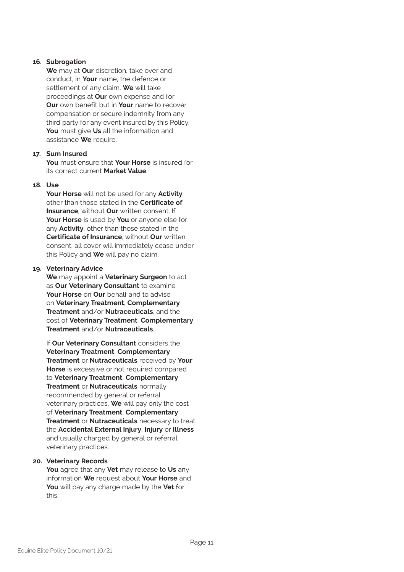#### **16. Subrogation**

**We** may at **Our** discretion, take over and conduct, in **Your** name, the defence or settlement of any claim. **We** will take proceedings at **Our** own expense and for **Our** own benefit but in **Your** name to recover compensation or secure indemnity from any third party for any event insured by this Policy. **You** must give **Us** all the information and assistance **We** require.

#### **17. Sum Insured**

**You** must ensure that **Your Horse** is insured for its correct current **Market Value**.

#### **18. Use**

**Your Horse** will not be used for any **Activity**, other than those stated in the **Certificate of Insurance**, without **Our** written consent. If **Your Horse** is used by **You** or anyone else for any **Activity**, other than those stated in the **Certificate of Insurance**, without **Our** written consent, all cover will immediately cease under this Policy and **We** will pay no claim.

#### **19. Veterinary Advice**

**We** may appoint a **Veterinary Surgeon** to act as **Our Veterinary Consultant** to examine **Your Horse** on **Our** behalf and to advise on **Veterinary Treatment**, **Complementary Treatment** and/or **Nutraceuticals**, and the cost of **Veterinary Treatment**, **Complementary Treatment** and/or **Nutraceuticals**.

If **Our Veterinary Consultant** considers the **Veterinary Treatment**, **Complementary Treatment** or **Nutraceuticals** received by **Your Horse** is excessive or not required compared to **Veterinary Treatment**, **Complementary Treatment** or **Nutraceuticals** normally recommended by general or referral veterinary practices, **We** will pay only the cost of **Veterinary Treatment**, **Complementary Treatment** or **Nutraceuticals** necessary to treat the **Accidental External Injury**, **Injury** or **Illness** and usually charged by general or referral veterinary practices.

#### **20. Veterinary Records**

**You** agree that any **Vet** may release to **Us** any information **We** request about **Your Horse** and **You** will pay any charge made by the **Vet** for this.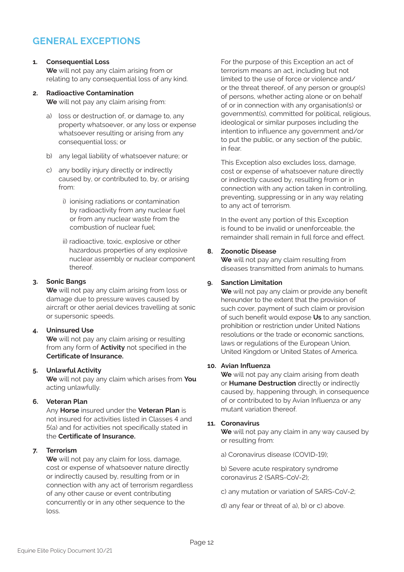### **GENERAL EXCEPTIONS**

#### **1. Consequential Loss**

**We** will not pay any claim arising from or relating to any consequential loss of any kind.

#### **2. Radioactive Contamination**

**We** will not pay any claim arising from:

- a) loss or destruction of, or damage to, any property whatsoever, or any loss or expense whatsoever resulting or arising from any consequential loss; or
- b) any legal liability of whatsoever nature; or
- c) any bodily injury directly or indirectly caused by, or contributed to, by, or arising from:
	- i) ionising radiations or contamination by radioactivity from any nuclear fuel or from any nuclear waste from the combustion of nuclear fuel;
	- ii) radioactive, toxic, explosive or other hazardous properties of any explosive nuclear assembly or nuclear component thereof.

#### **3. Sonic Bangs**

**We** will not pay any claim arising from loss or damage due to pressure waves caused by aircraft or other aerial devices travelling at sonic or supersonic speeds.

#### **4. Uninsured Use**

**We** will not pay any claim arising or resulting from any form of **Activity** not specified in the **Certificate of Insurance.**

#### **5. Unlawful Activity**

**We** will not pay any claim which arises from **You** acting unlawfully.

#### **6. Veteran Plan**

Any **Horse** insured under the **Veteran Plan** is not insured for activities listed in Classes 4 and 5(a) and for activities not specifically stated in the **Certificate of Insurance.**

#### **7. Terrorism**

**We** will not pay any claim for loss, damage, cost or expense of whatsoever nature directly or indirectly caused by, resulting from or in connection with any act of terrorism regardless of any other cause or event contributing concurrently or in any other sequence to the loss.

For the purpose of this Exception an act of terrorism means an act, including but not limited to the use of force or violence and/ or the threat thereof, of any person or group(s) of persons, whether acting alone or on behalf of or in connection with any organisation(s) or government(s), committed for political, religious, ideological or similar purposes including the intention to influence any government and/or to put the public, or any section of the public, in fear.

This Exception also excludes loss, damage, cost or expense of whatsoever nature directly or indirectly caused by, resulting from or in connection with any action taken in controlling, preventing, suppressing or in any way relating to any act of terrorism.

In the event any portion of this Exception is found to be invalid or unenforceable, the remainder shall remain in full force and effect.

#### **8. Zoonotic Disease**

**We** will not pay any claim resulting from diseases transmitted from animals to humans.

#### **9. Sanction Limitation**

**We** will not pay any claim or provide any benefit hereunder to the extent that the provision of such cover, payment of such claim or provision of such benefit would expose **Us** to any sanction, prohibition or restriction under United Nations resolutions or the trade or economic sanctions, laws or regulations of the European Union, United Kingdom or United States of America.

#### **10. Avian Influenza**

**We** will not pay any claim arising from death or **Humane Destruction** directly or indirectly caused by, happening through, in consequence of or contributed to by Avian Influenza or any mutant variation thereof.

#### **11. Coronavirus**

**We** will not pay any claim in any way caused by or resulting from:

a) Coronavirus disease (COVID-19);

b) Severe acute respiratory syndrome coronavirus 2 (SARS-CoV-2);

- c) any mutation or variation of SARS-CoV-2;
- d) any fear or threat of a), b) or c) above.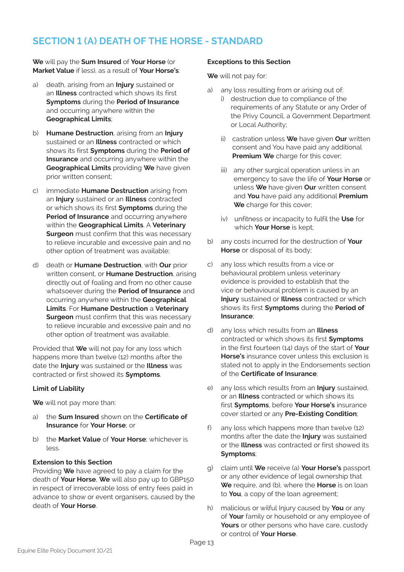### **SECTION 1 (A) DEATH OF THE HORSE - STANDARD**

**We** will pay the **Sum Insured** of **Your Horse** (or **Market Value** if less), as a result of **Your Horse's**:

- a) death, arising from an **Injury** sustained or an **Illness** contracted which shows its first **Symptoms** during the **Period of Insurance** and occurring anywhere within the **Geographical Limits**;
- b) **Humane Destruction**, arising from an **Injury** sustained or an **Illness** contracted or which shows its first **Symptoms** during the **Period of Insurance** and occurring anywhere within the **Geographical Limits** providing **We** have given prior written consent;
- c) immediate **Humane Destruction** arising from an **Injury** sustained or an **Illness** contracted or which shows its first **Symptoms** during the **Period of Insurance** and occurring anywhere within the **Geographical Limits**. A **Veterinary Surgeon** must confirm that this was necessary to relieve incurable and excessive pain and no other option of treatment was available;
- d) death or **Humane Destruction**, with **Our** prior written consent, or **Humane Destruction**, arising directly out of foaling and from no other cause whatsoever during the **Period of Insurance** and occurring anywhere within the **Geographical Limits**. For **Humane Destruction** a **Veterinary Surgeon** must confirm that this was necessary to relieve incurable and excessive pain and no other option of treatment was available.

Provided that **We** will not pay for any loss which happens more than twelve (12) months after the date the **Injury** was sustained or the **Illness** was contracted or first showed its **Symptoms**.

#### **Limit of Liability**

**We** will not pay more than:

- a) the **Sum Insured** shown on the **Certificate of Insurance** for **Your Horse**; or
- b) the **Market Value** of **Your Horse**; whichever is  $l$

#### **Extension to this Section**

Providing **We** have agreed to pay a claim for the death of **Your Horse**, **We** will also pay up to GBP150 in respect of irrecoverable loss of entry fees paid in advance to show or event organisers, caused by the death of **Your Horse**.

#### **Exceptions to this Section**

**We** will not pay for:

- a) any loss resulting from or arising out of:
	- i) destruction due to compliance of the requirements of any Statute or any Order of the Privy Council, a Government Department or Local Authority;
	- ii) castration unless **We** have given **Our** written consent and You have paid any additional **Premium We** charge for this cover;
	- iii) any other surgical operation unless in an emergency to save the life of **Your Horse** or unless **We** have given **Our** written consent and **You** have paid any additional **Premium We** charge for this cover;
	- iv) unfitness or incapacity to fulfil the **Use** for which **Your Horse** is kept;
- b) any costs incurred for the destruction of **Your Horse** or disposal of its body;
- c) any loss which results from a vice or behavioural problem unless veterinary evidence is provided to establish that the vice or behavioural problem is caused by an **Injury** sustained or **Illness** contracted or which shows its first **Symptoms** during the **Period of Insurance**;
- d) any loss which results from an **Illness** contracted or which shows its first **Symptoms** in the first fourteen (14) days of the start of **Your Horse's** insurance cover unless this exclusion is stated not to apply in the Endorsements section of the **Certificate of Insurance**;
- e) any loss which results from an **Injury** sustained, or an **Illness** contracted or which shows its first **Symptoms**, before **Your Horse's** insurance cover started or any **Pre-Existing Condition**;
- f) any loss which happens more than twelve (12) months after the date the **Injury** was sustained or the **Illness** was contracted or first showed its **Symptoms**;
- g) claim until **We** receive (a) **Your Horse's** passport or any other evidence of legal ownership that **We** require, and (b), where the **Horse** is on loan to **You**, a copy of the loan agreement;
- h) malicious or wilful Injury caused by **You** or any of **Your** family or household or any employee of **Yours** or other persons who have care, custody or control of **Your Horse**.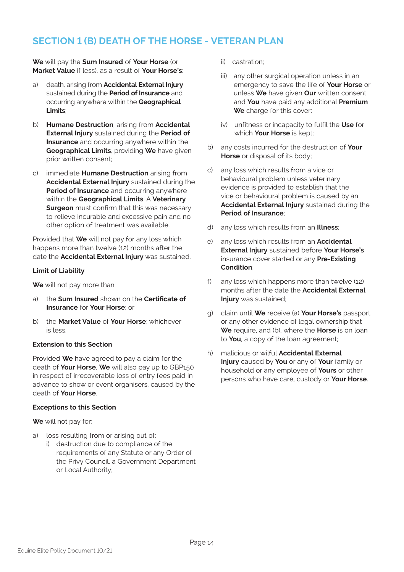### **SECTION 1 (B) DEATH OF THE HORSE - VETERAN PLAN**

**We** will pay the **Sum Insured** of **Your Horse** (or **Market Value** if less), as a result of **Your Horse's**:

- a) death, arising from **Accidental External Injury** sustained during the **Period of Insurance** and occurring anywhere within the **Geographical Limits**;
- b) **Humane Destruction**, arising from **Accidental External Injury** sustained during the **Period of Insurance** and occurring anywhere within the **Geographical Limits**, providing **We** have given prior written consent;
- c) immediate **Humane Destruction** arising from **Accidental External Injury** sustained during the **Period of Insurance** and occurring anywhere within the **Geographical Limits**. A **Veterinary Surgeon** must confirm that this was necessary to relieve incurable and excessive pain and no other option of treatment was available.

Provided that **We** will not pay for any loss which happens more than twelve (12) months after the date the **Accidental External Injury** was sustained.

#### **Limit of Liability**

**We** will not pay more than:

- a) the **Sum Insured** shown on the **Certificate of Insurance** for **Your Horse**; or
- b) the **Market Value** of **Your Horse**; whichever is less.

#### **Extension to this Section**

Provided **We** have agreed to pay a claim for the death of **Your Horse**, **We** will also pay up to GBP150 in respect of irrecoverable loss of entry fees paid in advance to show or event organisers, caused by the death of **Your Horse**.

#### **Exceptions to this Section**

**We** will not pay for:

- a) loss resulting from or arising out of:
	- i) destruction due to compliance of the requirements of any Statute or any Order of the Privy Council, a Government Department or Local Authority;
- ii) castration;
- iii) any other surgical operation unless in an emergency to save the life of **Your Horse** or unless **We** have given **Our** written consent and **You** have paid any additional **Premium We** charge for this cover;
- iv) unfitness or incapacity to fulfil the **Use** for which **Your Horse** is kept;
- b) any costs incurred for the destruction of **Your Horse** or disposal of its body;
- c) any loss which results from a vice or behavioural problem unless veterinary evidence is provided to establish that the vice or behavioural problem is caused by an **Accidental External Injury** sustained during the **Period of Insurance**;
- d) any loss which results from an **Illness**;
- e) any loss which results from an **Accidental External Injury** sustained before **Your Horse's** insurance cover started or any **Pre-Existing Condition**;
- f) any loss which happens more than twelve (12) months after the date the **Accidental External Injury** was sustained;
- g) claim until **We** receive (a) **Your Horse's** passport or any other evidence of legal ownership that **We** require, and (b), where the **Horse** is on loan to **You**, a copy of the loan agreement;
- h) malicious or wilful **Accidental External Injury** caused by **You** or any of **Your** family or household or any employee of **Yours** or other persons who have care, custody or **Your Horse**.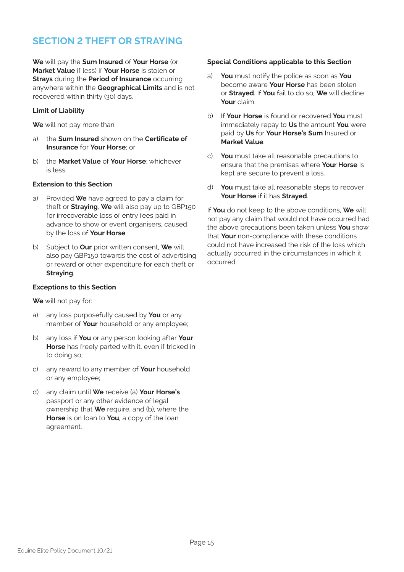### **SECTION 2 THEFT OR STRAYING**

**We** will pay the **Sum Insured** of **Your Horse** (or **Market Value** if less) if **Your Horse** is stolen or **Strays** during the **Period of Insurance** occurring anywhere within the **Geographical Limits** and is not recovered within thirty (30) days.

#### **Limit of Liability**

**We** will not pay more than:

- a) the **Sum Insured** shown on the **Certificate of Insurance** for **Your Horse**; or
- b) the **Market Value** of **Your Horse**; whichever is less.

#### **Extension to this Section**

- a) Provided **We** have agreed to pay a claim for theft or **Straying**, **We** will also pay up to GBP150 for irrecoverable loss of entry fees paid in advance to show or event organisers, caused by the loss of **Your Horse**.
- b) Subject to **Our** prior written consent, **We** will also pay GBP150 towards the cost of advertising or reward or other expenditure for each theft or **Straying**.

#### **Exceptions to this Section**

**We** will not pay for:

- a) any loss purposefully caused by **You** or any member of **Your** household or any employee;
- b) any loss if **You** or any person looking after **Your Horse** has freely parted with it, even if tricked in to doing so;
- c) any reward to any member of **Your** household or any employee;
- d) any claim until **We** receive (a) **Your Horse's** passport or any other evidence of legal ownership that **We** require, and (b), where the **Horse** is on loan to **You**, a copy of the loan agreement.

#### **Special Conditions applicable to this Section**

- a) **You** must notify the police as soon as **You** become aware **Your Horse** has been stolen or **Strayed**. If **You** fail to do so, **We** will decline **Your** claim.
- b) If **Your Horse** is found or recovered **You** must immediately repay to **Us** the amount **You** were paid by **Us** for **Your Horse's Sum** Insured or **Market Value**.
- c) **You** must take all reasonable precautions to ensure that the premises where **Your Horse** is kept are secure to prevent a loss.
- d) **You** must take all reasonable steps to recover **Your Horse** if it has **Strayed**.

If **You** do not keep to the above conditions, **We** will not pay any claim that would not have occurred had the above precautions been taken unless **You** show that **Your** non-compliance with these conditions could not have increased the risk of the loss which actually occurred in the circumstances in which it occurred.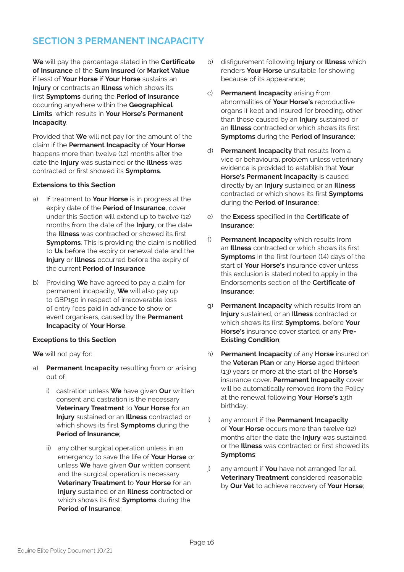### **SECTION 3 PERMANENT INCAPACITY**

**We** will pay the percentage stated in the **Certificate of Insurance** of the **Sum Insured** (or **Market Value** if less) of **Your Horse** if **Your Horse** sustains an **Injury** or contracts an **Illness** which shows its first **Symptoms** during the **Period of Insurance** occurring anywhere within the **Geographical Limits**, which results in **Your Horse's Permanent Incapacity**.

Provided that **We** will not pay for the amount of the claim if the **Permanent Incapacity** of **Your Horse** happens more than twelve (12) months after the date the **Injury** was sustained or the **Illness** was contracted or first showed its **Symptoms**.

#### **Extensions to this Section**

- a) If treatment to **Your Horse** is in progress at the expiry date of the **Period of Insurance**, cover under this Section will extend up to twelve (12) months from the date of the **Injury**, or the date the **Illness** was contracted or showed its first **Symptoms**. This is providing the claim is notified to **Us** before the expiry or renewal date and the **Injury** or **Illness** occurred before the expiry of the current **Period of Insurance**.
- b) Providing **We** have agreed to pay a claim for permanent incapacity, **We** will also pay up to GBP150 in respect of irrecoverable loss of entry fees paid in advance to show or event organisers, caused by the **Permanent Incapacity** of **Your Horse**.

#### **Exceptions to this Section**

**We** will not pay for:

- a) **Permanent Incapacity** resulting from or arising out of:
	- i) castration unless **We** have given **Our** written consent and castration is the necessary **Veterinary Treatment** to **Your Horse** for an **Injury** sustained or an **Illness** contracted or which shows its first **Symptoms** during the **Period of Insurance**;
	- ii) any other surgical operation unless in an emergency to save the life of **Your Horse** or unless **We** have given **Our** written consent and the surgical operation is necessary **Veterinary Treatment** to **Your Horse** for an **Injury** sustained or an **Illness** contracted or which shows its first **Symptoms** during the **Period of Insurance**;
- b) disfigurement following **Injury** or **Illness** which renders **Your Horse** unsuitable for showing because of its appearance;
- c) **Permanent Incapacity** arising from abnormalities of **Your Horse's** reproductive organs if kept and insured for breeding, other than those caused by an **Injury** sustained or an **Illness** contracted or which shows its first **Symptoms** during the **Period of Insurance**;
- d) **Permanent Incapacity** that results from a vice or behavioural problem unless veterinary evidence is provided to establish that **Your Horse's Permanent Incapacity** is caused directly by an **Injury** sustained or an **Illness** contracted or which shows its first **Symptoms** during the **Period of Insurance**;
- e) the **Excess** specified in the **Certificate of Insurance**;
- f) **Permanent Incapacity** which results from an **Illness** contracted or which shows its first **Symptoms** in the first fourteen (14) days of the start of **Your Horse's** insurance cover unless this exclusion is stated noted to apply in the Endorsements section of the **Certificate of Insurance**;
- g) **Permanent Incapacity** which results from an **Injury** sustained, or an **Illness** contracted or which shows its first **Symptoms**, before **Your Horse's** insurance cover started or any **Pre-Existing Condition**;
- h) **Permanent Incapacity** of any **Horse** insured on the **Veteran Plan** or any **Horse** aged thirteen (13) years or more at the start of the **Horse's** insurance cover. **Permanent Incapacity** cover will be automatically removed from the Policy at the renewal following **Your Horse's** 13th birthday;
- any amount if the **Permanent Incapacity** of **Your Horse** occurs more than twelve (12) months after the date the **Injury** was sustained or the **Illness** was contracted or first showed its **Symptoms**;
- j) any amount if **You** have not arranged for all **Veterinary Treatment** considered reasonable by **Our Vet** to achieve recovery of **Your Horse**;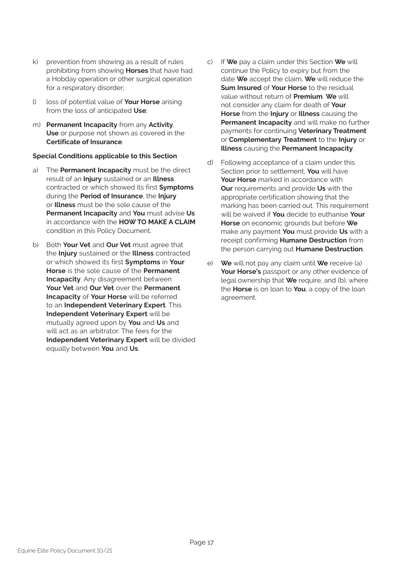- k) prevention from showing as a result of rules prohibiting from showing **Horses** that have had a Hobday operation or other surgical operation for a respiratory disorder;
- l) loss of potential value of **Your Horse** arising from the loss of anticipated **Use**;
- m) **Permanent Incapacity** from any **Activity**, **Use** or purpose not shown as covered in the **Certificate of Insurance**.

#### **Special Conditions applicable to this Section**

- a) The **Permanent Incapacity** must be the direct result of an **Injury** sustained or an **Illness** contracted or which showed its first **Symptoms** during the **Period of Insurance**, the **Injury** or **Illness** must be the sole cause of the **Permanent Incapacity** and **You** must advise **Us** in accordance with the **HOW TO MAKE A CLAIM** condition in this Policy Document.
- b) Both **Your Vet** and **Our Vet** must agree that the **Injury** sustained or the **Illness** contracted or which showed its first **Symptoms** in **Your Horse** is the sole cause of the **Permanent Incapacity**. Any disagreement between **Your Vet** and **Our Vet** over the **Permanent Incapacity** of **Your Horse** will be referred to an **Independent Veterinary Expert**. This **Independent Veterinary Expert** will be mutually agreed upon by **You** and **Us** and will act as an arbitrator. The fees for the **Independent Veterinary Expert** will be divided equally between **You** and **Us**.
- c) If **We** pay a claim under this Section **We** will continue the Policy to expiry but from the date **We** accept the claim, **We** will reduce the **Sum Insured** of **Your Horse** to the residual value without return of **Premium**. **We** will not consider any claim for death of **Your Horse** from the **Injury** or **Illness** causing the **Permanent Incapacity** and will make no further payments for continuing **Veterinary Treatment** or **Complementary Treatment** to the **Injury** or **Illness** causing the **Permanent Incapacity**.
- d) Following acceptance of a claim under this Section prior to settlement, **You** will have **Your Horse** marked in accordance with **Our** requirements and provide **Us** with the appropriate certification showing that the marking has been carried out. This requirement will be waived if **You** decide to euthanise **Your Horse** on economic grounds but before **We** make any payment **You** must provide **Us** with a receipt confirming **Humane Destruction** from the person carrying out **Humane Destruction**.
- e) **We** will not pay any claim until **We** receive (a) **Your Horse's** passport or any other evidence of legal ownership that **We** require, and (b), where the **Horse** is on loan to **You**, a copy of the loan agreement.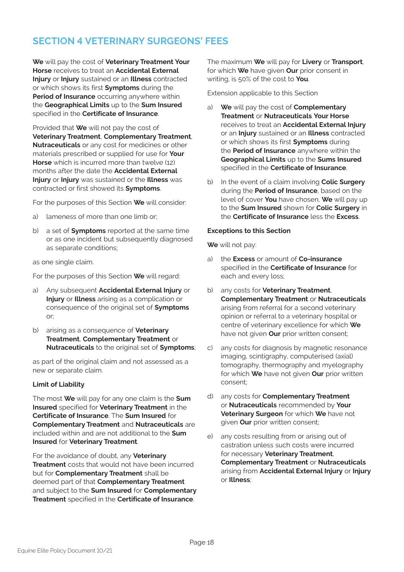### **SECTION 4 VETERINARY SURGEONS' FEES**

**We** will pay the cost of **Veterinary Treatment Your Horse** receives to treat an **Accidental External Injury** or **Injury** sustained or an **Illness** contracted or which shows its first **Symptoms** during the **Period of Insurance** occurring anywhere within the **Geographical Limits** up to the **Sum Insured** specified in the **Certificate of Insurance**.

Provided that **We** will not pay the cost of **Veterinary Treatment**, **Complementary Treatment**, **Nutraceuticals** or any cost for medicines or other materials prescribed or supplied for use for **Your Horse** which is incurred more than twelve (12) months after the date the **Accidental External Injury** or **Injury** was sustained or the **Illness** was contracted or first showed its **Symptoms**.

For the purposes of this Section **We** will consider:

- a) lameness of more than one limb or;
- b) a set of **Symptoms** reported at the same time or as one incident but subsequently diagnosed as separate conditions;

as one single claim.

For the purposes of this Section **We** will regard:

- a) Any subsequent **Accidental External Injury** or **Injury** or **Illness** arising as a complication or consequence of the original set of **Symptoms** or;
- b) arising as a consequence of **Veterinary Treatment**, **Complementary Treatment** or **Nutraceuticals** to the original set of **Symptoms**;

as part of the original claim and not assessed as a new or separate claim.

#### **Limit of Liability**

The most **We** will pay for any one claim is the **Sum Insured** specified for **Veterinary Treatment** in the **Certificate of Insurance**. The **Sum Insured** for **Complementary Treatment** and **Nutraceuticals** are included within and are not additional to the **Sum Insured** for **Veterinary Treatment**.

For the avoidance of doubt, any **Veterinary Treatment** costs that would not have been incurred but for **Complementary Treatment** shall be deemed part of that **Complementary Treatment** and subject to the **Sum Insured** for **Complementary Treatment** specified in the **Certificate of Insurance**.

The maximum **We** will pay for **Livery** or **Transport**, for which **We** have given **Our** prior consent in writing, is 50% of the cost to **You**.

Extension applicable to this Section

- a) **We** will pay the cost of **Complementary Treatment** or **Nutraceuticals Your Horse** receives to treat an **Accidental External Injury** or an **Injury** sustained or an **Illness** contracted or which shows its first **Symptoms** during the **Period of Insurance** anywhere within the **Geographical Limits** up to the **Sums Insured** specified in the **Certificate of Insurance**.
- b) In the event of a claim involving **Colic Surgery** during the **Period of Insurance**, based on the level of cover **You** have chosen, **We** will pay up to the **Sum Insured** shown for **Colic Surgery** in the **Certificate of Insurance** less the **Excess**.

#### **Exceptions to this Section**

**We** will not pay:

- a) the **Excess** or amount of **Co-insurance** specified in the **Certificate of Insurance** for each and every loss;
- b) any costs for **Veterinary Treatment**, **Complementary Treatment** or **Nutraceuticals** arising from referral for a second veterinary opinion or referral to a veterinary hospital or centre of veterinary excellence for which **We** have not given **Our** prior written consent;
- c) any costs for diagnosis by magnetic resonance imaging, scintigraphy, computerised (axial) tomography, thermography and myelography for which **We** have not given **Our** prior written consent;
- d) any costs for **Complementary Treatment** or **Nutraceuticals** recommended by **Your Veterinary Surgeon** for which **We** have not given **Our** prior written consent;
- e) any costs resulting from or arising out of castration unless such costs were incurred for necessary **Veterinary Treatment**, **Complementary Treatment** or **Nutraceuticals** arising from **Accidental External Injury** or **Injury** or **Illness**;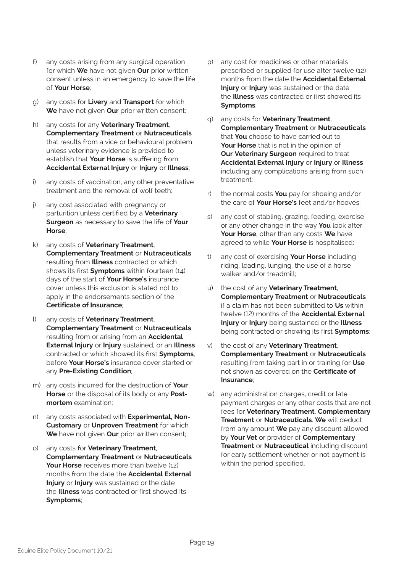- f) any costs arising from any surgical operation for which **We** have not given **Our** prior written consent unless in an emergency to save the life of **Your Horse**;
- g) any costs for **Livery** and **Transport** for which **We** have not given **Our** prior written consent;
- h) any costs for any **Veterinary Treatment**, **Complementary Treatment** or **Nutraceuticals** that results from a vice or behavioural problem unless veterinary evidence is provided to establish that **Your Horse** is suffering from **Accidental External Injury** or **Injury** or **Illness**;
- i) any costs of vaccination, any other preventative treatment and the removal of wolf teeth;
- j) any cost associated with pregnancy or parturition unless certified by a **Veterinary Surgeon** as necessary to save the life of **Your Horse**;
- k) any costs of **Veterinary Treatment**, **Complementary Treatment** or **Nutraceuticals** resulting from **Illness** contracted or which shows its first **Symptoms** within fourteen (14) days of the start of **Your Horse's** insurance cover unless this exclusion is stated not to apply in the endorsements section of the **Certificate of Insurance**;
- l) any costs of **Veterinary Treatment**, **Complementary Treatment** or **Nutraceuticals** resulting from or arising from an **Accidental External Injury** or **Injury** sustained, or an **Illness** contracted or which showed its first **Symptoms**, before **Your Horse's** insurance cover started or any **Pre-Existing Condition**;
- m) any costs incurred for the destruction of **Your Horse** or the disposal of its body or any **Postmortem** examination;
- n) any costs associated with **Experimental, Non-Customary** or **Unproven Treatment** for which **We** have not given **Our** prior written consent;
- o) any costs for **Veterinary Treatment**, **Complementary Treatment** or **Nutraceuticals Your Horse** receives more than twelve (12) months from the date the **Accidental External Injury** or **Injury** was sustained or the date the **Illness** was contracted or first showed its **Symptoms**;
- p) any cost for medicines or other materials prescribed or supplied for use after twelve (12) months from the date the **Accidental External Injury** or **Injury** was sustained or the date the **Illness** was contracted or first showed its **Symptoms**;
- q) any costs for **Veterinary Treatment**, **Complementary Treatment** or **Nutraceuticals** that **You** choose to have carried out to **Your Horse** that is not in the opinion of **Our Veterinary Surgeon** required to treat **Accidental External Injury** or **Injury** or **Illness** including any complications arising from such treatment;
- r) the normal costs **You** pay for shoeing and/or the care of **Your Horse's** feet and/or hooves;
- s) any cost of stabling, grazing, feeding, exercise or any other change in the way **You** look after **Your Horse**, other than any costs **We** have agreed to while **Your Horse** is hospitalised;
- t) any cost of exercising **Your Horse** including riding, leading, lunging, the use of a horse walker and/or treadmill;
- u) the cost of any **Veterinary Treatment**, **Complementary Treatment** or **Nutraceuticals** if a claim has not been submitted to **Us** within twelve (12) months of the **Accidental External Injury** or **Injury** being sustained or the **Illness** being contracted or showing its first **Symptoms**;
- v) the cost of any **Veterinary Treatment**, **Complementary Treatment** or **Nutraceuticals** resulting from taking part in or training for **Use** not shown as covered on the **Certificate of Insurance**;
- w) any administration charges, credit or late payment charges or any other costs that are not fees for **Veterinary Treatment**, **Complementary Treatment** or **Nutraceuticals**. **We** will deduct from any amount **We** pay any discount allowed by **Your Vet** or provider of **Complementary Treatment** or **Nutraceutical** including discount for early settlement whether or not payment is within the period specified.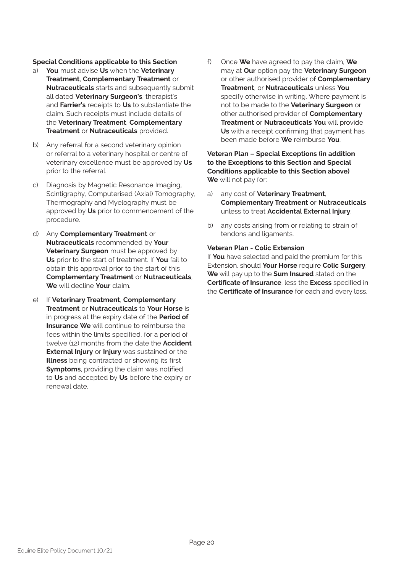#### **Special Conditions applicable to this Section**

- a) **You** must advise **Us** when the **Veterinary Treatment**, **Complementary Treatment** or **Nutraceuticals** starts and subsequently submit all dated **Veterinary Surgeon's**, therapist's and **Farrier's** receipts to **Us** to substantiate the claim. Such receipts must include details of the **Veterinary Treatment**, **Complementary Treatment** or **Nutraceuticals** provided.
- b) Any referral for a second veterinary opinion or referral to a veterinary hospital or centre of veterinary excellence must be approved by **Us** prior to the referral.
- c) Diagnosis by Magnetic Resonance Imaging, Scintigraphy, Computerised (Axial) Tomography, Thermography and Myelography must be approved by **Us** prior to commencement of the procedure.
- d) Any **Complementary Treatment** or **Nutraceuticals** recommended by **Your Veterinary Surgeon** must be approved by **Us** prior to the start of treatment. If **You** fail to obtain this approval prior to the start of this **Complementary Treatment** or **Nutraceuticals**, **We** will decline **Your** claim.
- e) If **Veterinary Treatment**, **Complementary Treatment** or **Nutraceuticals** to **Your Horse** is in progress at the expiry date of the **Period of Insurance We** will continue to reimburse the fees within the limits specified, for a period of twelve (12) months from the date the **Accident External Injury** or **Injury** was sustained or the **Illness** being contracted or showing its first **Symptoms**, providing the claim was notified to **Us** and accepted by **Us** before the expiry or renewal date.

f) Once **We** have agreed to pay the claim, **We** may at **Our** option pay the **Veterinary Surgeon** or other authorised provider of **Complementary Treatment**, or **Nutraceuticals** unless **You** specify otherwise in writing. Where payment is not to be made to the **Veterinary Surgeon** or other authorised provider of **Complementary Treatment** or **Nutraceuticals You** will provide **Us** with a receipt confirming that payment has been made before **We** reimburse **You**.

#### **Veteran Plan – Special Exceptions (in addition to the Exceptions to this Section and Special Conditions applicable to this Section above) We** will not pay for:

- a) any cost of **Veterinary Treatment**, **Complementary Treatment** or **Nutraceuticals**  unless to treat **Accidental External Injury**;
- b) any costs arising from or relating to strain of tendons and ligaments.

#### **Veteran Plan - Colic Extension**

If **You** have selected and paid the premium for this Extension, should **Your Horse** require **Colic Surgery**, **We** will pay up to the **Sum Insured** stated on the **Certificate of Insurance**, less the **Excess** specified in the **Certificate of Insurance** for each and every loss.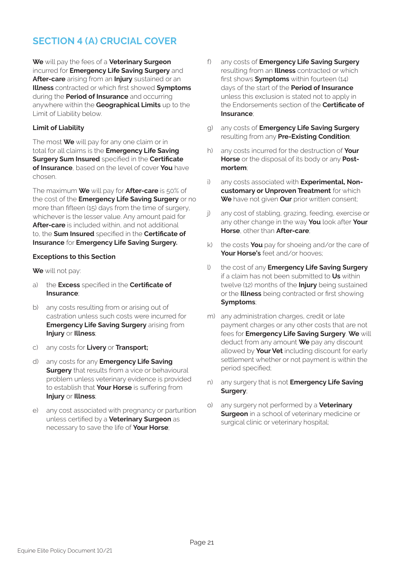### **SECTION 4 (A) CRUCIAL COVER**

**We** will pay the fees of a **Veterinary Surgeon** incurred for **Emergency Life Saving Surgery** and **After-care** arising from an **Injury** sustained or an **Illness** contracted or which first showed **Symptoms** during the **Period of Insurance** and occurring anywhere within the **Geographical Limits** up to the Limit of Liability below.

#### **Limit of Liability**

The most **We** will pay for any one claim or in total for all claims is the **Emergency Life Saving Surgery Sum Insured** specified in the **Certificate of Insurance**, based on the level of cover **You** have chosen.

The maximum **We** will pay for **After-care** is 50% of the cost of the **Emergency Life Saving Surgery** or no more than fifteen (15) days from the time of surgery, whichever is the lesser value. Any amount paid for **After-care** is included within, and not additional to, the **Sum Insured** specified in the **Certificate of Insurance** for **Emergency Life Saving Surgery.**

#### **Exceptions to this Section**

**We** will not pay:

- a) the **Excess** specified in the **Certificate of Insurance**;
- b) any costs resulting from or arising out of castration unless such costs were incurred for **Emergency Life Saving Surgery** arising from **Injury** or **Illness**;
- c) any costs for **Livery** or **Transport;**
- d) any costs for any **Emergency Life Saving Surgery** that results from a vice or behavioural problem unless veterinary evidence is provided to establish that **Your Horse** is suffering from **Injury** or **Illness**;
- e) any cost associated with pregnancy or parturition unless certified by a **Veterinary Surgeon** as necessary to save the life of **Your Horse**;
- f) any costs of **Emergency Life Saving Surgery** resulting from an **Illness** contracted or which first shows **Symptoms** within fourteen (14) days of the start of the **Period of Insurance** unless this exclusion is stated not to apply in the Endorsements section of the **Certificate of Insurance**;
- g) any costs of **Emergency Life Saving Surgery** resulting from any **Pre-Existing Condition**;
- h) any costs incurred for the destruction of **Your Horse** or the disposal of its body or any **Postmortem**;
- i) any costs associated with **Experimental, Noncustomary or Unproven Treatment** for which **We** have not given **Our** prior written consent;
- j) any cost of stabling, grazing, feeding, exercise or any other change in the way **You** look after **Your Horse**, other than **After-care**;
- k) the costs **You** pay for shoeing and/or the care of **Your Horse's** feet and/or hooves;
- l) the cost of any **Emergency Life Saving Surgery** if a claim has not been submitted to **Us** within twelve (12) months of the **Injury** being sustained or the **Illness** being contracted or first showing **Symptoms**;
- m) any administration charges, credit or late payment charges or any other costs that are not fees for **Emergency Life Saving Surgery**. **We** will deduct from any amount **We** pay any discount allowed by **Your Vet** including discount for early settlement whether or not payment is within the period specified;
- n) any surgery that is not **Emergency Life Saving Surgery**;
- o) any surgery not performed by a **Veterinary Surgeon** in a school of veterinary medicine or surgical clinic or veterinary hospital;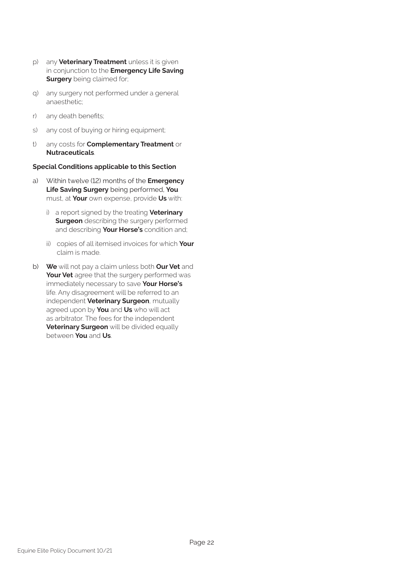- p) any **Veterinary Treatment** unless it is given in conjunction to the **Emergency Life Saving Surgery** being claimed for;
- q) any surgery not performed under a general anaesthetic;
- r) any death benefits;
- s) any cost of buying or hiring equipment;
- t) any costs for **Complementary Treatment** or **Nutraceuticals**.

#### **Special Conditions applicable to this Section**

- a) Within twelve (12) months of the **Emergency Life Saving Surgery** being performed, **You** must, at **Your** own expense, provide **Us** with:
	- i) a report signed by the treating **Veterinary Surgeon** describing the surgery performed and describing **Your Horse's** condition and;
	- ii) copies of all itemised invoices for which **Your**  claim is made.
- b) **We** will not pay a claim unless both **Our Vet** and **Your Vet** agree that the surgery performed was immediately necessary to save **Your Horse's** life. Any disagreement will be referred to an independent **Veterinary Surgeon**, mutually agreed upon by **You** and **Us** who will act as arbitrator. The fees for the independent **Veterinary Surgeon** will be divided equally between **You** and **Us**.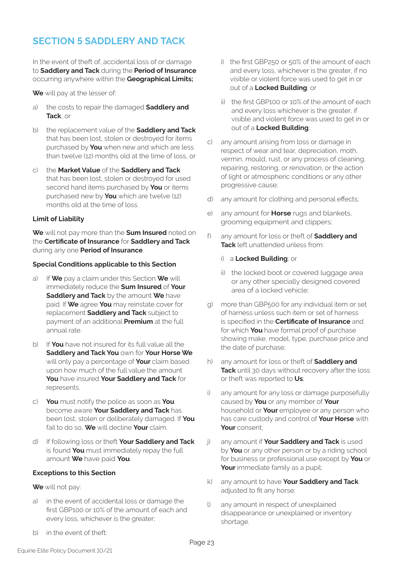### **SECTION 5 SADDLERY AND TACK**

In the event of theft of, accidental loss of or damage to **Saddlery and Tack** during the **Period of Insurance**  occurring anywhere within the **Geographical Limits;** 

**We** will pay at the lesser of:

- a) the costs to repair the damaged **Saddlery and Tack**, or
- b) the replacement value of the **Saddlery and Tack**  that has been lost, stolen or destroyed for items purchased by **You** when new and which are less than twelve (12) months old at the time of loss, or
- c) the **Market Value** of the **Saddlery and Tack**  that has been lost, stolen or destroyed for used second hand items purchased by **You** or items purchased new by **You** which are twelve (12) months old at the time of loss.

#### **Limit of Liability**

**We** will not pay more than the **Sum Insured** noted on the **Certificate of Insurance** for **Saddlery and Tack**  during any one **Period of Insurance**.

#### **Special Conditions applicable to this Section**

- a) If **We** pay a claim under this Section **We** will immediately reduce the **Sum Insured** of **Your Saddlery and Tack** by the amount **We** have paid. If **We** agree **You** may reinstate cover for replacement **Saddlery and Tack** subject to payment of an additional **Premium** at the full annual rate.
- b) If **You** have not insured for its full value all the **Saddlery and Tack You** own for **Your Horse We**  will only pay a percentage of **Your** claim based upon how much of the full value the amount **You** have insured **Your Saddlery and Tack** for represents.
- c) **You** must notify the police as soon as **You**  become aware **Your Saddlery and Tack** has been lost, stolen or deliberately damaged. If **You**  fail to do so, **We** will decline **Your** claim.
- d) If following loss or theft **Your Saddlery and Tack**  is found **You** must immediately repay the full amount **We** have paid **You**.

#### **Exceptions to this Section**

**We** will not pay:

- a) in the event of accidental loss or damage the first GBP100 or 10% of the amount of each and every loss, whichever is the greater;
- b) in the event of theft:
- i) the first GBP250 or 50% of the amount of each and every loss, whichever is the greater, if no visible or violent force was used to get in or out of a **Locked Building**; or
- ii) the first GBP100 or 10% of the amount of each and every loss whichever is the greater, if visible and violent force was used to get in or out of a **Locked Building**;
- c) any amount arising from loss or damage in respect of wear and tear, depreciation, moth, vermin, mould, rust, or any process of cleaning, repairing, restoring, or renovation, or the action of light or atmospheric conditions or any other progressive cause;
- d) any amount for clothing and personal effects;
- e) any amount for **Horse** rugs and blankets, grooming equipment and clippers;
- f) any amount for loss or theft of **Saddlery and Tack** left unattended unless from:
	- i) a **Locked Building**; or
	- ii) the locked boot or covered luggage area or any other specially designed covered area of a locked vehicle;
- g) more than GBP500 for any individual item or set of harness unless such item or set of harness is specified in the **Certificate of Insurance** and for which **You** have formal proof of purchase showing make, model, type, purchase price and the date of purchase;
- h) any amount for loss or theft of **Saddlery and Tack** until 30 days without recovery after the loss or theft was reported to **Us**;
- i) any amount for any loss or damage purposefully caused by **You** or any member of **Your**  household or **Your** employee or any person who has care custody and control of **Your Horse** with **Your** consent;
- j) any amount if **Your Saddlery and Tack** is used by **You** or any other person or by a riding school for business or professional use except by **You** or **Your** immediate family as a pupil;
- k) any amount to have **Your Saddlery and Tack**  adjusted to fit any horse;
- l) any amount in respect of unexplained disappearance or unexplained or inventory shortage.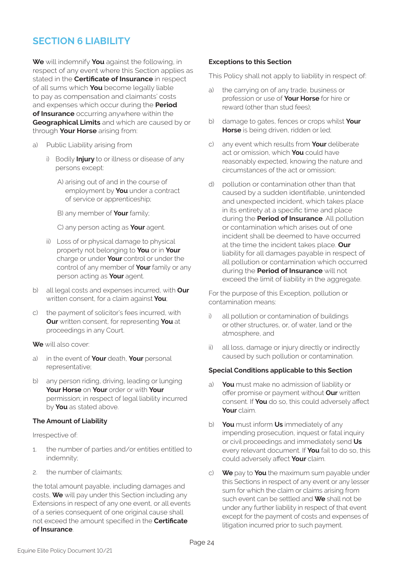### **SECTION 6 LIABILITY**

**We** will indemnify **You** against the following, in respect of any event where this Section applies as stated in the **Certificate of Insurance** in respect of all sums which **You** become legally liable to pay as compensation and claimants' costs and expenses which occur during the **Period of Insurance** occurring anywhere within the **Geographical Limits** and which are caused by or through **Your Horse** arising from:

- a) Public Liability arising from
	- i) Bodily **Injury** to or illness or disease of any persons except:
		- A) arising out of and in the course of employment by **You** under a contract of service or apprenticeship;

B) any member of **Your** family;

C) any person acting as **Your** agent.

- ii) Loss of or physical damage to physical property not belonging to **You** or in **Your**  charge or under **Your** control or under the control of any member of **Your** family or any person acting as **Your** agent.
- b) all legal costs and expenses incurred, with **Our**  written consent, for a claim against **You**;
- c) the payment of solicitor's fees incurred, with **Our** written consent, for representing **You** at proceedings in any Court.
- **We** will also cover:
- a) in the event of **Your** death, **Your** personal representative;
- b) any person riding, driving, leading or lunging **Your Horse** on **Your** order or with **Your**  permission; in respect of legal liability incurred by **You** as stated above.

#### **The Amount of Liability**

Irrespective of:

- 1. the number of parties and/or entities entitled to indemnity;
- 2. the number of claimants;

the total amount payable, including damages and costs, **We** will pay under this Section including any Extensions in respect of any one event, or all events of a series consequent of one original cause shall not exceed the amount specified in the **Certificate of Insurance**.

#### **Exceptions to this Section**

This Policy shall not apply to liability in respect of:

- the carrying on of any trade, business or profession or use of **Your Horse** for hire or reward (other than stud fees);
- b) damage to gates, fences or crops whilst **Your Horse** is being driven, ridden or led;
- c) any event which results from **Your** deliberate act or omission, which **You** could have reasonably expected, knowing the nature and circumstances of the act or omission;
- d) pollution or contamination other than that caused by a sudden identifiable, unintended and unexpected incident, which takes place in its entirety at a specific time and place during the **Period of Insurance**. All pollution or contamination which arises out of one incident shall be deemed to have occurred at the time the incident takes place. **Our**  liability for all damages payable in respect of all pollution or contamination which occurred during the **Period of Insurance** will not exceed the limit of liability in the aggregate.

For the purpose of this Exception, pollution or contamination means:

- i) all pollution or contamination of buildings or other structures, or, of water, land or the atmosphere, and
- ii) all loss, damage or injury directly or indirectly caused by such pollution or contamination.

#### **Special Conditions applicable to this Section**

- a) **You** must make no admission of liability or offer promise or payment without **Our** written consent. If **You** do so, this could adversely affect **Your** claim.
- b) **You** must inform **Us** immediately of any impending prosecution, inquest or fatal inquiry or civil proceedings and immediately send **Us**  every relevant document. If **You** fail to do so, this could adversely affect **Your** claim.
- c) **We** pay to **You** the maximum sum payable under this Sections in respect of any event or any lesser sum for which the claim or claims arising from such event can be settled and **We** shall not be under any further liability in respect of that event except for the payment of costs and expenses of litigation incurred prior to such payment.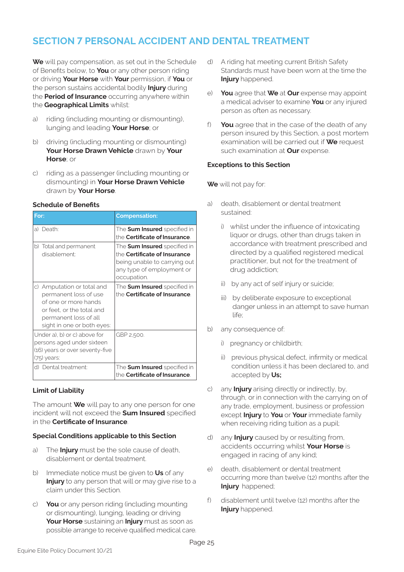### **SECTION 7 PERSONAL ACCIDENT AND DENTAL TREATMENT**

**We** will pay compensation, as set out in the Schedule of Benefits below, to **You** or any other person riding or driving **Your Horse** with **Your** permission, if **You** or the person sustains accidental bodily **Injury** during the **Period of Insurance** occurring anywhere within the **Geographical Limits** whilst:

- a) riding (including mounting or dismounting), lunging and leading **Your Horse**; or
- b) driving (including mounting or dismounting) **Your Horse Drawn Vehicle** drawn by **Your Horse**; or
- c) riding as a passenger (including mounting or dismounting) in **Your Horse Drawn Vehicle**  drawn by **Your Horse**.

#### **Schedule of Benefits**

| For:                                                                                                                                                            | <b>Compensation:</b>                                                                                                                                   |
|-----------------------------------------------------------------------------------------------------------------------------------------------------------------|--------------------------------------------------------------------------------------------------------------------------------------------------------|
| a) Death:                                                                                                                                                       | The <b>Sum Insured</b> specified in<br>the Certificate of Insurance.                                                                                   |
| b) Total and permanent<br>disablement:                                                                                                                          | The <b>Sum Insured</b> specified in<br>the <b>Certificate of Insurance</b><br>being unable to carrying out<br>any type of employment or<br>occupation. |
| c) Amputation or total and<br>permanent loss of use<br>of one or more hands<br>or feet, or the total and<br>permanent loss of all<br>sight in one or both eyes: | The <b>Sum Insured</b> specified in<br>the Certificate of Insurance.                                                                                   |
| Under a), b) or c) above for<br>persons aged under sixteen<br>(16) years or over seventy-five<br>(75) years:                                                    | GBP 2,500.                                                                                                                                             |
| d) Dental treatment:                                                                                                                                            | The Sum Insured specified in<br>the Certificate of Insurance.                                                                                          |

#### **Limit of Liability**

The amount **We** will pay to any one person for one incident will not exceed the **Sum Insured** specified in the **Certificate of Insurance**.

#### **Special Conditions applicable to this Section**

- a) The **Injury** must be the sole cause of death, disablement or dental treatment.
- b) Immediate notice must be given to **Us** of any **Injury** to any person that will or may give rise to a claim under this Section.
- c) **You** or any person riding (including mounting or dismounting), lunging, leading or driving **Your Horse** sustaining an **Injury** must as soon as possible arrange to receive qualified medical care.
- d) A riding hat meeting current British Safety Standards must have been worn at the time the **Injury** happened.
- e) **You** agree that **We** at **Our** expense may appoint a medical adviser to examine **You** or any injured person as often as necessary.
- f) **You** agree that in the case of the death of any person insured by this Section, a post mortem examination will be carried out if **We** request such examination at **Our** expense.

#### **Exceptions to this Section**

**We** will not pay for:

- a) death, disablement or dental treatment sustained:
	- i) whilst under the influence of intoxicating liquor or drugs, other than drugs taken in accordance with treatment prescribed and directed by a qualified registered medical practitioner, but not for the treatment of drug addiction;
	- ii) by any act of self injury or suicide;
	- iii) by deliberate exposure to exceptional danger unless in an attempt to save human life;
- b) any consequence of:
	- i) pregnancy or childbirth;
	- ii) previous physical defect, infirmity or medical condition unless it has been declared to, and accepted by **Us;**
- c) any **Injury** arising directly or indirectly, by, through, or in connection with the carrying on of any trade, employment, business or profession except **Injury** to **You** or **Your** immediate family when receiving riding tuition as a pupil;
- d) any **Injury** caused by or resulting from, accidents occurring whilst **Your Horse** is engaged in racing of any kind;
- e) death, disablement or dental treatment occurring more than twelve (12) months after the **Injury** happened;
- f) disablement until twelve (12) months after the **Injury** happened.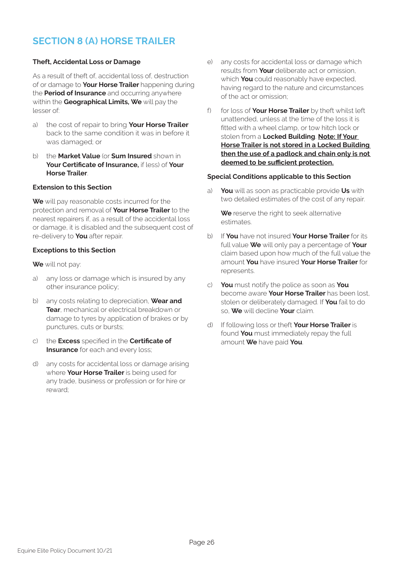### **SECTION 8 (A) HORSE TRAILER**

#### **Theft, Accidental Loss or Damage**

As a result of theft of, accidental loss of, destruction of or damage to **Your Horse Trailer** happening during the **Period of Insurance** and occurring anywhere within the **Geographical Limits, We** will pay the lesser of:

- a) the cost of repair to bring **Your Horse Trailer**  back to the same condition it was in before it was damaged; or
- b) the **Market Value** (or **Sum Insured** shown in **Your Certificate of Insurance,** if less) of **Your Horse Trailer**.

#### **Extension to this Section**

**We** will pay reasonable costs incurred for the protection and removal of **Your Horse Trailer** to the nearest repairers if, as a result of the accidental loss or damage, it is disabled and the subsequent cost of re-delivery to **You** after repair.

#### **Exceptions to this Section**

**We** will not pay:

- a) any loss or damage which is insured by any other insurance policy;
- b) any costs relating to depreciation, **Wear and Tear**, mechanical or electrical breakdown or damage to tyres by application of brakes or by punctures, cuts or bursts;
- c) the **Excess** specified in the **Certificate of Insurance** for each and every loss;
- d) any costs for accidental loss or damage arising where **Your Horse Trailer** is being used for any trade, business or profession or for hire or reward;
- e) any costs for accidental loss or damage which results from **Your** deliberate act or omission, which **You** could reasonably have expected, having regard to the nature and circumstances of the act or omission;
- f) for loss of **Your Horse Trailer** by theft whilst left unattended, unless at the time of the loss it is fitted with a wheel clamp, or tow hitch lock or stolen from a **Locked Building**. **Note: If Your Horse Trailer is not stored in a Locked Building then the use of a padlock and chain only is not deemed to be sufficient protection.**

#### **Special Conditions applicable to this Section**

a) **You** will as soon as practicable provide **Us** with two detailed estimates of the cost of any repair.

**We** reserve the right to seek alternative estimates.

- b) If **You** have not insured **Your Horse Trailer** for its full value **We** will only pay a percentage of **Your**  claim based upon how much of the full value the amount **You** have insured **Your Horse Trailer** for represents.
- c) **You** must notify the police as soon as **You**  become aware **Your Horse Trailer** has been lost, stolen or deliberately damaged. If **You** fail to do so, **We** will decline **Your** claim.
- d) If following loss or theft **Your Horse Trailer** is found **You** must immediately repay the full amount **We** have paid **You**.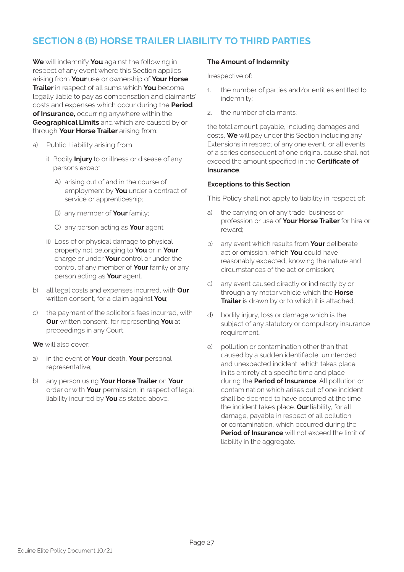### **SECTION 8 (B) HORSE TRAILER LIABILITY TO THIRD PARTIES**

**We** will indemnify **You** against the following in respect of any event where this Section applies arising from **Your** use or ownership of **Your Horse Trailer** in respect of all sums which **You** become legally liable to pay as compensation and claimants' costs and expenses which occur during the **Period of Insurance,** occurring anywhere within the **Geographical Limits** and which are caused by or through **Your Horse Trailer** arising from:

- a) Public Liability arising from
	- i) Bodily **Injury** to or illness or disease of any persons except:
		- A) arising out of and in the course of employment by **You** under a contract of service or apprenticeship;
		- B) any member of **Your** family;
		- C) any person acting as **Your** agent.
	- ii) Loss of or physical damage to physical property not belonging to **You** or in **Your**  charge or under **Your** control or under the control of any member of **Your** family or any person acting as **Your** agent.
- b) all legal costs and expenses incurred, with **Our**  written consent, for a claim against **You**;
- c) the payment of the solicitor's fees incurred, with **Our** written consent, for representing **You** at proceedings in any Court.
- **We** will also cover:
- a) in the event of **Your** death, **Your** personal representative;
- b) any person using **Your Horse Trailer** on **Your**  order or with **Your** permission; in respect of legal liability incurred by **You** as stated above.

#### **The Amount of Indemnity**

Irrespective of:

- 1. the number of parties and/or entities entitled to indemnity;
- 2. the number of claimants;

the total amount payable, including damages and costs, **We** will pay under this Section including any Extensions in respect of any one event, or all events of a series consequent of one original cause shall not exceed the amount specified in the **Certificate of Insurance**.

#### **Exceptions to this Section**

This Policy shall not apply to liability in respect of:

- a) the carrying on of any trade, business or profession or use of **Your Horse Trailer** for hire or reward;
- b) any event which results from **Your** deliberate act or omission, which **You** could have reasonably expected, knowing the nature and circumstances of the act or omission;
- c) any event caused directly or indirectly by or through any motor vehicle which the **Horse Trailer** is drawn by or to which it is attached;
- d) bodily injury, loss or damage which is the subject of any statutory or compulsory insurance requirement;
- e) pollution or contamination other than that caused by a sudden identifiable, unintended and unexpected incident, which takes place in its entirety at a specific time and place during the **Period of Insurance**. All pollution or contamination which arises out of one incident shall be deemed to have occurred at the time the incident takes place. **Our** liability, for all damage, payable in respect of all pollution or contamination, which occurred during the **Period of Insurance** will not exceed the limit of liability in the aggregate.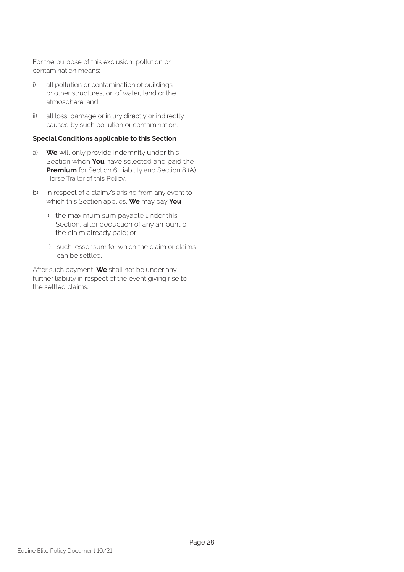For the purpose of this exclusion, pollution or contamination means:

- i) all pollution or contamination of buildings or other structures, or, of water, land or the atmosphere; and
- ii) all loss, damage or injury directly or indirectly caused by such pollution or contamination.

#### **Special Conditions applicable to this Section**

- a) **We** will only provide indemnity under this Section when **You** have selected and paid the **Premium** for Section 6 Liability and Section 8 (A) Horse Trailer of this Policy.
- b) In respect of a claim/s arising from any event to which this Section applies, **We** may pay **You**
	- i) the maximum sum payable under this Section, after deduction of any amount of the claim already paid; or
	- ii) such lesser sum for which the claim or claims can be settled.

After such payment, **We** shall not be under any further liability in respect of the event giving rise to the settled claims.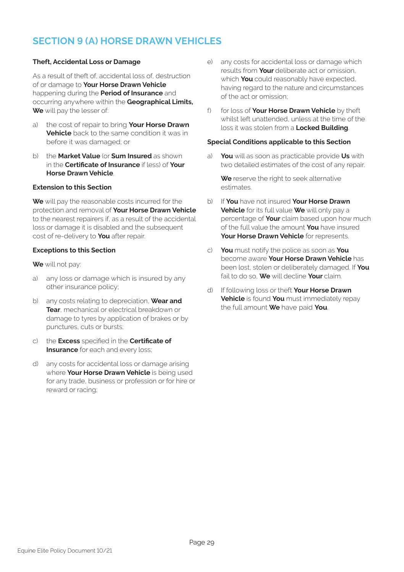### **SECTION 9 (A) HORSE DRAWN VEHICLES**

#### **Theft, Accidental Loss or Damage**

As a result of theft of, accidental loss of, destruction of or damage to **Your Horse Drawn Vehicle**  happening during the **Period of Insurance** and occurring anywhere within the **Geographical Limits, We** will pay the lesser of:

- a) the cost of repair to bring **Your Horse Drawn Vehicle** back to the same condition it was in before it was damaged; or
- b) the **Market Value** (or **Sum Insured** as shown in the **Certificate of Insurance** if less) of **Your Horse Drawn Vehicle**.

#### **Extension to this Section**

**We** will pay the reasonable costs incurred for the protection and removal of **Your Horse Drawn Vehicle**  to the nearest repairers if, as a result of the accidental loss or damage it is disabled and the subsequent cost of re-delivery to **You** after repair.

#### **Exceptions to this Section**

**We** will not pay:

- a) any loss or damage which is insured by any other insurance policy;
- b) any costs relating to depreciation, **Wear and Tear**, mechanical or electrical breakdown or damage to tyres by application of brakes or by punctures, cuts or bursts;
- c) the **Excess** specified in the **Certificate of Insurance** for each and every loss;
- d) any costs for accidental loss or damage arising where **Your Horse Drawn Vehicle** is being used for any trade, business or profession or for hire or reward or racing;
- e) any costs for accidental loss or damage which results from **Your** deliberate act or omission, which **You** could reasonably have expected, having regard to the nature and circumstances of the act or omission;
- f) for loss of **Your Horse Drawn Vehicle** by theft whilst left unattended, unless at the time of the loss it was stolen from a **Locked Building**.

#### **Special Conditions applicable to this Section**

a) **You** will as soon as practicable provide **Us** with two detailed estimates of the cost of any repair.

**We** reserve the right to seek alternative estimates.

- b) If **You** have not insured **Your Horse Drawn Vehicle** for its full value **We** will only pay a percentage of **Your** claim based upon how much of the full value the amount **You** have insured **Your Horse Drawn Vehicle** for represents.
- c) **You** must notify the police as soon as **You**  become aware **Your Horse Drawn Vehicle** has been lost, stolen or deliberately damaged. If **You**  fail to do so, **We** will decline **Your** claim.
- d) If following loss or theft **Your Horse Drawn Vehicle** is found **You** must immediately repay the full amount **We** have paid **You**.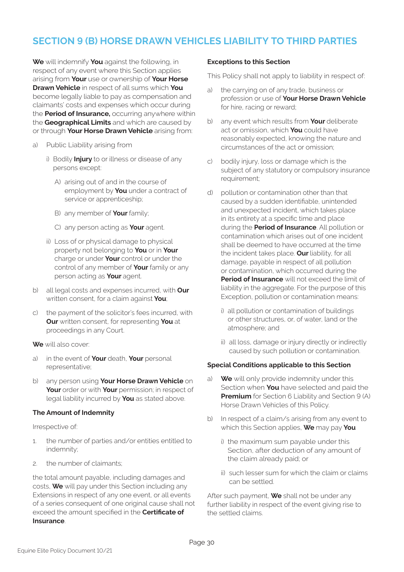### **SECTION 9 (B) HORSE DRAWN VEHICLES LIABILITY TO THIRD PARTIES**

**We** will indemnify **You** against the following, in respect of any event where this Section applies arising from **Your** use or ownership of **Your Horse Drawn Vehicle** in respect of all sums which **You**  become legally liable to pay as compensation and claimants' costs and expenses which occur during the **Period of Insurance,** occurring anywhere within the **Geographical Limits** and which are caused by or through **Your Horse Drawn Vehicle** arising from:

- a) Public Liability arising from
	- i) Bodily **Injury** to or illness or disease of any persons except:
		- A) arising out of and in the course of employment by **You** under a contract of service or apprenticeship;
		- B) any member of **Your** family;
		- C) any person acting as **Your** agent.
	- ii) Loss of or physical damage to physical property not belonging to **You** or in **Your**  charge or under **Your** control or under the control of any member of **Your** family or any person acting as **Your** agent.
- b) all legal costs and expenses incurred, with **Our**  written consent, for a claim against **You**;
- c) the payment of the solicitor's fees incurred, with **Our** written consent, for representing **You** at proceedings in any Court.
- **We** will also cover:
- a) in the event of **Your** death, **Your** personal representative;
- b) any person using **Your Horse Drawn Vehicle** on **Your** order or with **Your** permission; in respect of legal liability incurred by **You** as stated above.

#### **The Amount of Indemnity**

Irrespective of:

- 1. the number of parties and/or entities entitled to indemnity;
- 2. the number of claimants;

the total amount payable, including damages and costs, **We** will pay under this Section including any Extensions in respect of any one event, or all events of a series consequent of one original cause shall not exceed the amount specified in the **Certificate of Insurance**.

#### **Exceptions to this Section**

This Policy shall not apply to liability in respect of:

- a) the carrying on of any trade, business or profession or use of **Your Horse Drawn Vehicle**  for hire, racing or reward;
- b) any event which results from **Your** deliberate act or omission, which **You** could have reasonably expected, knowing the nature and circumstances of the act or omission;
- c) bodily injury, loss or damage which is the subject of any statutory or compulsory insurance requirement;
- d) pollution or contamination other than that caused by a sudden identifiable, unintended and unexpected incident, which takes place in its entirety at a specific time and place during the **Period of Insurance**. All pollution or contamination which arises out of one incident shall be deemed to have occurred at the time the incident takes place. **Our** liability, for all damage, payable in respect of all pollution or contamination, which occurred during the **Period of Insurance** will not exceed the limit of liability in the aggregate. For the purpose of this Exception, pollution or contamination means:
	- i) all pollution or contamination of buildings or other structures, or, of water, land or the atmosphere; and
	- ii) all loss, damage or injury directly or indirectly caused by such pollution or contamination.

#### **Special Conditions applicable to this Section**

- a) **We** will only provide indemnity under this Section when **You** have selected and paid the **Premium** for Section 6 Liability and Section 9 (A) Horse Drawn Vehicles of this Policy.
- b) In respect of a claim/s arising from any event to which this Section applies, **We** may pay **You**
	- i) the maximum sum payable under this Section, after deduction of any amount of the claim already paid; or
	- ii) such lesser sum for which the claim or claims can be settled.

After such payment, **We** shall not be under any further liability in respect of the event giving rise to the settled claims.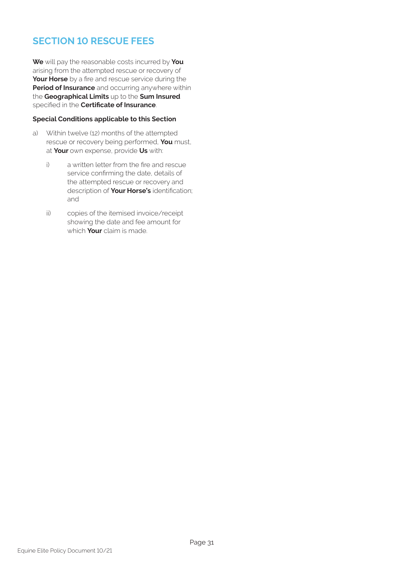### **SECTION 10 RESCUE FEES**

**We** will pay the reasonable costs incurred by **You** arising from the attempted rescue or recovery of **Your Horse** by a fire and rescue service during the **Period of Insurance** and occurring anywhere within the **Geographical Limits** up to the **Sum Insured** specified in the **Certificate of Insurance**.

#### **Special Conditions applicable to this Section**

- a) Within twelve (12) months of the attempted rescue or recovery being performed, **You** must, at **Your** own expense, provide **Us** with:
	- i) a written letter from the fire and rescue service confirming the date, details of the attempted rescue or recovery and description of **Your Horse's** identification; and
	- ii) copies of the itemised invoice/receipt showing the date and fee amount for which **Your** claim is made.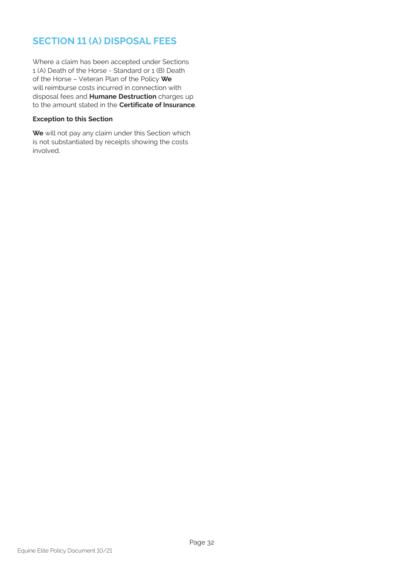### **SECTION 11 (A) DISPOSAL FEES**

Where a claim has been accepted under Sections 1 (A) Death of the Horse - Standard or 1 (B) Death of the Horse – Veteran Plan of the Policy **We** will reimburse costs incurred in connection with disposal fees and **Humane Destruction** charges up to the amount stated in the **Certificate of Insurance**.

#### **Exception to this Section**

**We** will not pay any claim under this Section which is not substantiated by receipts showing the costs involved.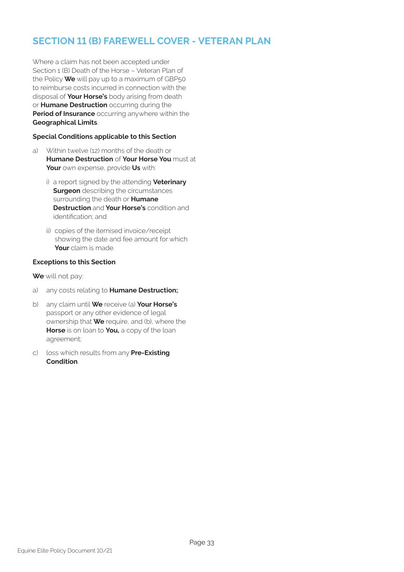### **SECTION 11 (B) FAREWELL COVER - VETERAN PLAN**

Where a claim has not been accepted under Section 1 (B) Death of the Horse – Veteran Plan of the Policy **We** will pay up to a maximum of GBP50 to reimburse costs incurred in connection with the disposal of **Your Horse's** body arising from death or **Humane Destruction** occurring during the **Period of Insurance** occurring anywhere within the **Geographical Limits**.

#### **Special Conditions applicable to this Section**

- a) Within twelve (12) months of the death or **Humane Destruction** of **Your Horse You** must at **Your** own expense, provide **Us** with:
	- i) a report signed by the attending **Veterinary Surgeon** describing the circumstances surrounding the death or **Humane Destruction** and **Your Horse's** condition and identification; and
	- ii) copies of the itemised invoice/receipt showing the date and fee amount for which **Your** claim is made.

#### **Exceptions to this Section**

**We** will not pay:

- a) any costs relating to **Humane Destruction;**.
- b) any claim until **We** receive (a) **Your Horse's** passport or any other evidence of legal ownership that **We** require, and (b), where the **Horse** is on loan to **You,** a copy of the loan agreement;
- c) loss which results from any **Pre-Existing Condition**.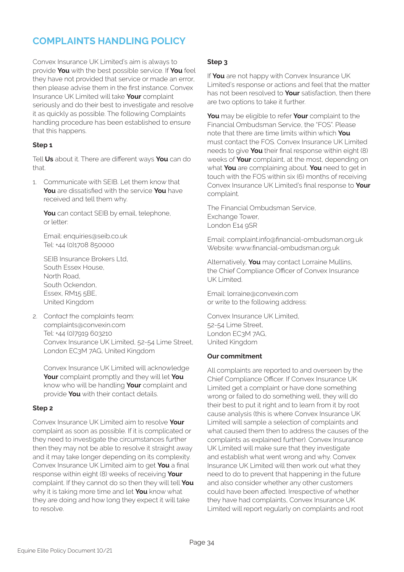### **COMPLAINTS HANDLING POLICY**

Convex Insurance UK Limited's aim is always to provide **You** with the best possible service. If **You** feel they have not provided that service or made an error, then please advise them in the first instance. Convex Insurance UK Limited will take **Your** complaint seriously and do their best to investigate and resolve it as quickly as possible. The following Complaints handling procedure has been established to ensure that this happens.

#### **Step 1**

Tell **Us** about it. There are different ways **You** can do  $thot$ 

1. Communicate with SEIB. Let them know that **You** are dissatisfied with the service **You** have received and tell them why.

**You** can contact SEIB by email, telephone, or letter:

Email: enquiries@seib.co.uk Tel: +44 (0)1708 850000

SEIB Insurance Brokers Ltd, South Essex House, North Road, South Ockendon, Essex, RM15 5BE, United Kingdom

2. Contact the complaints team: complaints@convexin.com Tel: +44 (0)7919 603210 Convex Insurance UK Limited, 52-54 Lime Street, London EC3M 7AG, United Kingdom

Convex Insurance UK Limited will acknowledge **Your** complaint promptly and they will let **You** know who will be handling **Your** complaint and provide **You** with their contact details.

#### **Step 2**

Convex Insurance UK Limited aim to resolve **Your** complaint as soon as possible. If it is complicated or they need to investigate the circumstances further then they may not be able to resolve it straight away and it may take longer depending on its complexity. Convex Insurance UK Limited aim to get **You** a final response within eight (8) weeks of receiving **Your** complaint. If they cannot do so then they will tell **You** why it is taking more time and let **You** know what they are doing and how long they expect it will take to resolve.

#### **Step 3**

If **You** are not happy with Convex Insurance UK Limited's response or actions and feel that the matter has not been resolved to **Your** satisfaction, then there are two options to take it further.

**You** may be eligible to refer **Your** complaint to the Financial Ombudsman Service, the "FOS". Please note that there are time limits within which **You** must contact the FOS. Convex Insurance UK Limited needs to give **You** their final response within eight (8) weeks of **Your** complaint, at the most, depending on what **You** are complaining about. **You** need to get in touch with the FOS within six (6) months of receiving Convex Insurance UK Limited's final response to **Your**  complaint.

The Financial Ombudsman Service, Exchange Tower, London E14 9SR

Email: complaint.info@financial-ombudsman.org.uk Website: www.financial-ombudsman.org.uk

Alternatively, **You** may contact Lorraine Mullins, the Chief Compliance Officer of Convex Insurance UK Limited.

Email: lorraine@convexin.com or write to the following address:

Convex Insurance UK Limited, 52-54 Lime Street, London EC3M 7AG, United Kingdom

#### **Our commitment**

All complaints are reported to and overseen by the Chief Compliance Officer. If Convex Insurance UK Limited get a complaint or have done something wrong or failed to do something well, they will do their best to put it right and to learn from it by root cause analysis (this is where Convex Insurance UK Limited will sample a selection of complaints and what caused them then to address the causes of the complaints as explained further). Convex Insurance UK Limited will make sure that they investigate and establish what went wrong and why. Convex Insurance UK Limited will then work out what they need to do to prevent that happening in the future and also consider whether any other customers could have been affected. Irrespective of whether they have had complaints, Convex Insurance UK Limited will report regularly on complaints and root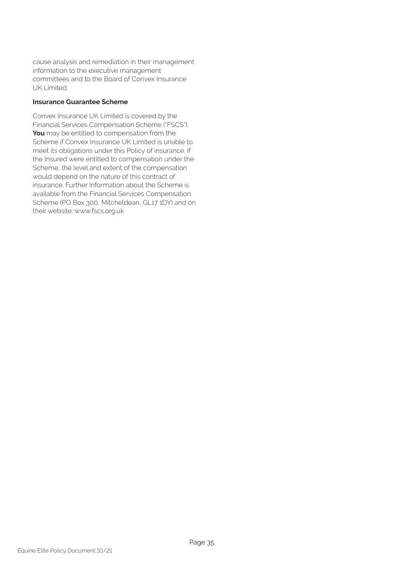cause analysis and remediation in their management information to the executive management committees and to the Board of Convex Insurance UK Limited.

#### **Insurance Guarantee Scheme**

Convex Insurance UK Limited is covered by the Financial Services Compensation Scheme ("FSCS"). **You** may be entitled to compensation from the Scheme if Convex Insurance UK Limited is unable to meet its obligations under this Policy of insurance. If the Insured were entitled to compensation under the Scheme, the level and extent of the compensation would depend on the nature of this contract of insurance. Further Information about the Scheme is available from the Financial Services Compensation Scheme (PO Box 300, Mitcheldean, GL17 1DY) and on their website: www.fscs.org.uk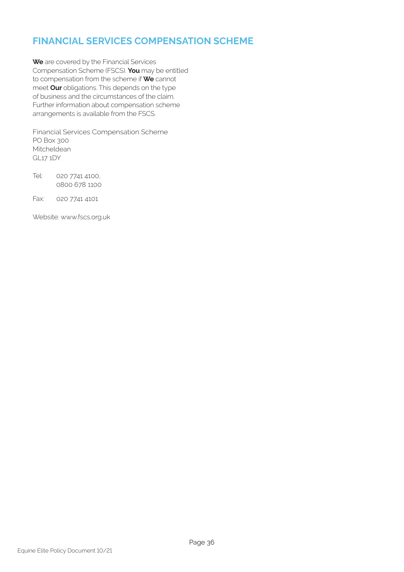### **FINANCIAL SERVICES COMPENSATION SCHEME**

**We** are covered by the Financial Services Compensation Scheme (FSCS). **You** may be entitled to compensation from the scheme if **We** cannot meet **Our** obligations. This depends on the type of business and the circumstances of the claim. Further information about compensation scheme arrangements is available from the FSCS.

Financial Services Compensation Scheme PO Box 300 Mitcheldean GL17 1DY

Tel: 020 7741 4100, 0800 678 1100

Fax: 020 7741 4101

Website: www.fscs.org.uk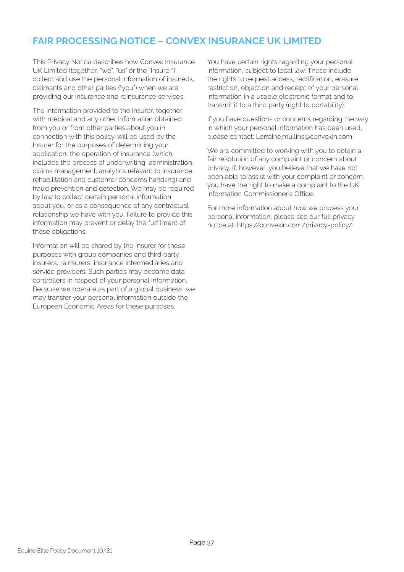### **FAIR PROCESSING NOTICE – CONVEX INSURANCE UK LIMITED**

This Privacy Notice describes how Convex Insurance UK Limited (together, "we", "us" or the "Insurer") collect and use the personal information of insureds, claimants and other parties ("you") when we are providing our insurance and reinsurance services.

The information provided to the insurer, together with medical and any other information obtained from you or from other parties about you in connection with this policy. will be used by the Insurer for the purposes of determining your application, the operation of insurance (which includes the process of underwriting, administration, claims management. analytics relevant to insurance, rehabilitation and customer concerns handling) and fraud prevention and detection. We may be required by law to collect certain personal information about you, or as a consequence of any contractual relationship we have with you. Failure to provide this information may prevent or delay the fulfilment of these obligations.

Information will be shared by the Insurer for these purposes with group companies and third party insurers, reinsurers, insurance intermediaries and service providers. Such parties may become data controllers in respect of your personal information. Because we operate as part of a global business, we may transfer your personal information outside the European Economic Areas for these purposes.

You have certain rights regarding your personal information, subject to local law. These include the rights to request access, rectification, erasure, restriction, objection and receipt of your personal information in a usable electronic format and to transmit it to a third party (right to portability).

If you have questions or concerns regarding the way in which your personal information has been used, please contact: Lorraine.mullins@convexin.com

We are committed to working with you to obtain a fair resolution of any complaint or concern about privacy. if, however, you believe that we have not been able to assist with your complaint or concern, you have the right to make a complaint to the UK information Commissioner's Office.

For more information about how we process your personal information, please see our full privacy notice at: https://convexin.com/privacy-policy/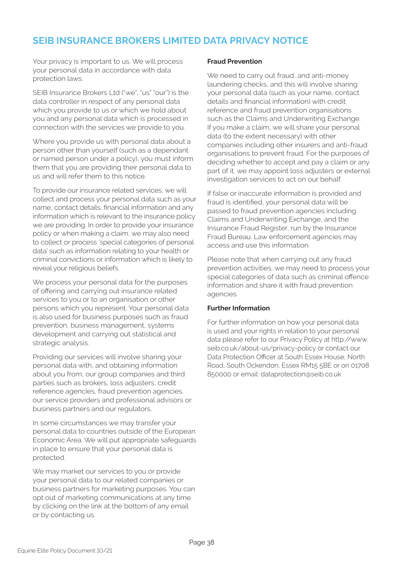### **SEIB INSURANCE BROKERS LIMITED DATA PRIVACY NOTICE**

Your privacy is important to us. We will process your personal data in accordance with data protection laws.

SEIB Insurance Brokers Ltd ("we", "us" "our") is the data controller in respect of any personal data which you provide to us or which we hold about you and any personal data which is processed in connection with the services we provide to you.

Where you provide us with personal data about a person other than yourself (such as a dependant or named person under a policy), you must inform them that you are providing their personal data to us and will refer them to this notice.

To provide our insurance related services, we will collect and process your personal data such as your name, contact details, financial information and any information which is relevant to the insurance policy we are providing. In order to provide your insurance policy or when making a claim, we may also need to collect or process 'special categories of personal data' such as information relating to your health or criminal convictions or information which is likely to reveal your religious beliefs.

We process your personal data for the purposes of offering and carrying out insurance related services to you or to an organisation or other persons which you represent. Your personal data is also used for business purposes such as fraud prevention, business management, systems development and carrying out statistical and strategic analysis.

Providing our services will involve sharing your personal data with, and obtaining information about you from, our group companies and third parties such as brokers, loss adjusters, credit reference agencies, fraud prevention agencies, our service providers and professional advisors or business partners and our regulators.

In some circumstances we may transfer your personal data to countries outside of the European Economic Area. We will put appropriate safeguards in place to ensure that your personal data is protected.

We may market our services to you or provide your personal data to our related companies or business partners for marketing purposes. You can opt out of marketing communications at any time by clicking on the link at the bottom of any email or by contacting us.

#### **Fraud Prevention**

We need to carry out fraud, and anti-money laundering checks, and this will involve sharing your personal data (such as your name, contact details and financial information) with credit reference and fraud prevention organisations such as the Claims and Underwriting Exchange. If you make a claim, we will share your personal data (to the extent necessary) with other companies including other insurers and anti-fraud organisations to prevent fraud. For the purposes of deciding whether to accept and pay a claim or any part of it, we may appoint loss adjusters or external investigation services to act on our behalf.

If false or inaccurate information is provided and fraud is identified, your personal data will be passed to fraud prevention agencies including Claims and Underwriting Exchange, and the Insurance Fraud Register, run by the Insurance Fraud Bureau. Law enforcement agencies may access and use this information.

Please note that when carrying out any fraud prevention activities, we may need to process your special categories of data such as criminal offence information and share it with fraud prevention agencies.

#### **Further Information**

For further information on how your personal data is used and your rights in relation to your personal data please refer to our Privacy Policy at http://www. seib.co.uk/about-us/privacy-policy or contact our Data Protection Officer at South Essex House, North Road, South Ockendon, Essex RM15 5BE or on 01708 850000 or email: dataprotection@seib.co.uk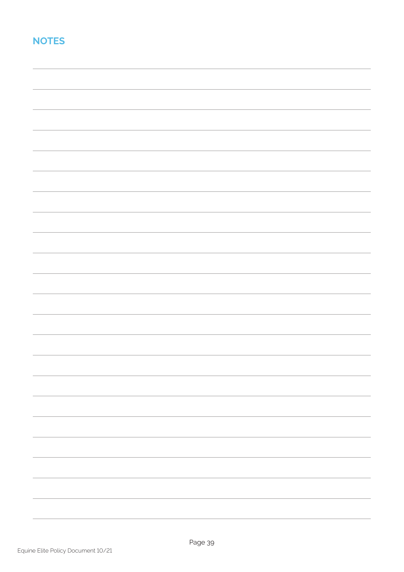### **NOTES**